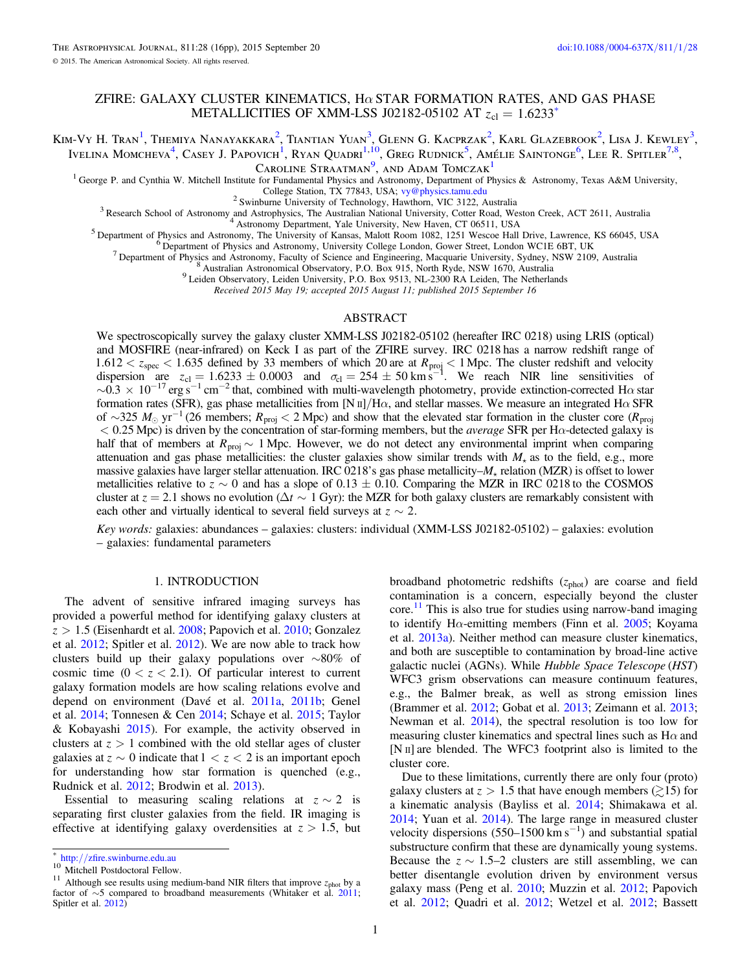# ZFIRE: GALAXY CLUSTER KINEMATICS,  $H\alpha$  star formation rates, and gas phase METALLICITIES OF XMM-LSS J02182-05102 AT  $z_{\text{cl}} = 1.6233$ <sup>\*</sup>

Kim-Vy H. Tran<sup>1</sup>, Themiya Nanayakkara<sup>2</sup>, Tiantian Yuan<sup>3</sup>, Glenn G. Kacprzak<sup>2</sup>, Karl Glazebrook<sup>2</sup>, Lisa J. Kewley<sup>3</sup>, Ivelina Momcheva<sup>4</sup>, Casey J. Papovich<sup>1</sup>, Ryan Ouadri<sup>1,10</sup>, Greg Rudnick<sup>5</sup>, Amélie Saintonge<sup>6</sup>, Lee R. Spitler<sup>7,8</sup>,

CAROLINE STRAATMAN<sup>9</sup>, AND ADAM TOMCZAK<sup>1</sup>

<sup>1</sup> George P. and Cynthia W. Mitchell Institute for Fundamental Physics and Astronomy, Department of Physics & Astronomy, Texas A&M University,<br>College Station, TX 77843, USA; vy@physics.tamu.edu

<sup>2</sup> Swinburne University of Technology, Hawthorn, VIC 3122, Australia<br><sup>3</sup> Research School of Astronomy and Astrophysics, The Australian National University, Cotter Road, Weston Creek, ACT 2611, Australia<br><sup>4</sup> Astronomy Dep

Received 2015 May 19; accepted 2015 August 11; published 2015 September 16

# ABSTRACT

We spectroscopically survey the galaxy cluster XMM-LSS J02182-05102 (hereafter IRC 0218) using LRIS (optical) and MOSFIRE (near-infrared) on Keck I as part of the ZFIRE survey. IRC 0218 has a narrow redshift range of  $1.612 < z<sub>spec</sub> < 1.635$  defined by 33 members of which 20 are at  $R<sub>proj</sub> < 1$  Mpc. The cluster redshift and velocity dispersion are  $z_{\text{cl}} = 1.6233 \pm 0.0003$  and  $\sigma_{\text{cl}} = 254 \pm 50 \text{ km s}^{-1}$ . We reach NIR line sensitivities of  $\sim 0.3 \times 10^{-17}$  erg s<sup>-1</sup> cm<sup>-2</sup> that, combined with multi-wavelength photometry, provide extinction-corrected H $\alpha$  star formation rates (SFR), gas phase metallicities from [N  $\text{II}/\text{H}\alpha$ , and stellar masses. We measure an integrated H $\alpha$  SFR of ∼325  $M_{\odot}$  yr<sup>-1</sup> (26 members;  $R_{\text{proj}}$  < 2 Mpc) and show that the elevated star formation in the cluster core ( $R_{\text{proj}}$ )  $< 0.25$  Mpc) is driven by the concentration of star-forming members, but the *average* SFR per H $\alpha$ -detected galaxy is half that of members at  $R_{\text{proj}} \sim 1$  Mpc. However, we do not detect any environmental imprint when comparing attenuation and gas phase metallicities: the cluster galaxies show similar trends with  $M_{\star}$  as to the field, e.g., more massive galaxies have larger stellar attenuation. IRC 0218's gas phase metallicity– $M_{\star}$  relation (MZR) is offset to lower metallicities relative to  $z \sim 0$  and has a slope of 0.13  $\pm$  0.10. Comparing the MZR in IRC 0218 to the COSMOS cluster at  $z = 2.1$  shows no evolution ( $\Delta t \sim 1$  Gyr): the MZR for both galaxy clusters are remarkably consistent with each other and virtually identical to several field surveys at  $z \sim 2$ .

Key words: galaxies: abundances – galaxies: clusters: individual (XMM-LSS J02182-05102) – galaxies: evolution – galaxies: fundamental parameters

#### 1. INTRODUCTION

The advent of sensitive infrared imaging surveys has provided a powerful method for identifying galaxy clusters at *z* > 1.5 (Eisenhardt et al. [2008](#page-14-0); Papovich et al. [2010;](#page-14-0) Gonzalez et al. [2012;](#page-14-0) Spitler et al. [2012](#page-15-0)). We are now able to track how clusters build up their galaxy populations over ∼80% of cosmic time  $(0 < z < 2.1)$ . Of particular interest to current galaxy formation models are how scaling relations evolve and depend on environment (Davé et al. [2011a](#page-14-0), [2011b](#page-14-0); Genel et al. [2014](#page-14-0); Tonnesen & Cen [2014](#page-15-0); Schaye et al. [2015](#page-14-0); Taylor & Kobayashi [2015](#page-15-0)). For example, the activity observed in clusters at  $z > 1$  combined with the old stellar ages of cluster galaxies at  $z \sim 0$  indicate that  $1 < z < 2$  is an important epoch for understanding how star formation is quenched (e.g., Rudnick et al. [2012](#page-14-0); Brodwin et al. [2013](#page-14-0)).

Essential to measuring scaling relations at  $z \sim 2$  is separating first cluster galaxies from the field. IR imaging is effective at identifying galaxy overdensities at  $z > 1.5$ , but broadband photometric redshifts (z<sub>phot</sub>) are coarse and field contamination is a concern, especially beyond the cluster  $\text{core.}^{11}$  This is also true for studies using narrow-band imaging to identify H $\alpha$ -emitting members (Finn et al. [2005;](#page-14-0) Koyama et al. [2013a](#page-14-0)). Neither method can measure cluster kinematics, and both are susceptible to contamination by broad-line active galactic nuclei (AGNs). While Hubble Space Telescope (HST) WFC3 grism observations can measure continuum features, e.g., the Balmer break, as well as strong emission lines (Brammer et al. [2012;](#page-14-0) Gobat et al. [2013;](#page-14-0) Zeimann et al. [2013](#page-15-0); Newman et al. [2014](#page-14-0)), the spectral resolution is too low for measuring cluster kinematics and spectral lines such as  $H\alpha$  and [N II] are blended. The WFC3 footprint also is limited to the cluster core.

Due to these limitations, currently there are only four (proto) galaxy clusters at  $z > 1.5$  that have enough members ( $\geq 15$ ) for a kinematic analysis (Bayliss et al. [2014;](#page-14-0) Shimakawa et al. [2014;](#page-15-0) Yuan et al. [2014](#page-15-0)). The large range in measured cluster velocity dispersions  $(550-1500 \text{ km s}^{-1})$  and substantial spatial substructure confirm that these are dynamically young systems. Because the  $z \sim 1.5-2$  clusters are still assembling, we can better disentangle evolution driven by environment versus galaxy mass (Peng et al. [2010;](#page-14-0) Muzzin et al. [2012;](#page-14-0) Papovich et al. [2012](#page-14-0); Quadri et al. [2012](#page-14-0); Wetzel et al. [2012](#page-15-0); Bassett

<sup>\*</sup> http://zfi[re.swinburne.edu.au](http://zfire.swinburne.edu.au) <sup>10</sup> Mitchell Postdoctoral Fellow. <sup>11</sup> Although see results using medium-band NIR filters that improve *<sup>z</sup>*phot by a factor of ∼5 compared to broadband measurements (Whitaker et al. [2011;](#page-15-0) Spitler et al. [2012](#page-15-0))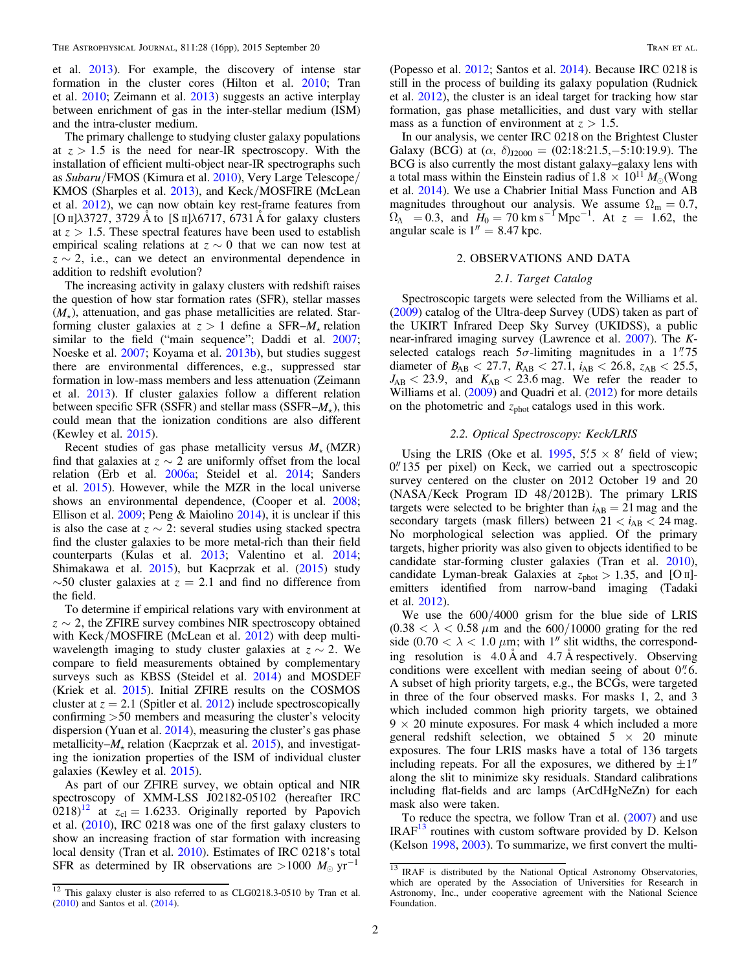et al. [2013](#page-14-0)). For example, the discovery of intense star formation in the cluster cores (Hilton et al. [2010](#page-14-0); Tran et al. [2010;](#page-15-0) Zeimann et al. [2013](#page-15-0)) suggests an active interplay between enrichment of gas in the inter-stellar medium (ISM) and the intra-cluster medium.

The primary challenge to studying cluster galaxy populations at  $z > 1.5$  is the need for near-IR spectroscopy. With the installation of efficient multi-object near-IR spectrographs such as Subaru/FMOS (Kimura et al. [2010](#page-14-0)), Very Large Telescope/ KMOS (Sharples et al. [2013](#page-15-0)), and Keck/MOSFIRE (McLean et al. [2012](#page-14-0)), we can now obtain key rest-frame features from [O II]*l*3727, 3729 Å to [S II]*l*6717, 6731 Å for galaxy clusters at  $z > 1.5$ . These spectral features have been used to establish empirical scaling relations at  $z \sim 0$  that we can now test at  $z \sim 2$ , i.e., can we detect an environmental dependence in addition to redshift evolution?

The increasing activity in galaxy clusters with redshift raises the question of how star formation rates (SFR), stellar masses  $(M_{\star})$ , attenuation, and gas phase metallicities are related. Starforming cluster galaxies at  $z > 1$  define a SFR– $M_{\star}$  relation similar to the field ("main sequence"; Daddi et al. [2007](#page-14-0); Noeske et al. [2007;](#page-14-0) Koyama et al. [2013b](#page-14-0)), but studies suggest there are environmental differences, e.g., suppressed star formation in low-mass members and less attenuation (Zeimann et al. [2013](#page-15-0)). If cluster galaxies follow a different relation between specific SFR (SSFR) and stellar mass (SSFR–*M*), this could mean that the ionization conditions are also different (Kewley et al. [2015](#page-14-0)).

Recent studies of gas phase metallicity versus  $M_{\star}$  (MZR) find that galaxies at  $z \sim 2$  are uniformly offset from the local relation (Erb et al. [2006a;](#page-14-0) Steidel et al. [2014](#page-15-0); Sanders et al. [2015](#page-14-0)). However, while the MZR in the local universe shows an environmental dependence, (Cooper et al. [2008](#page-14-0); Ellison et al. [2009;](#page-14-0) Peng & Maiolino [2014](#page-14-0)), it is unclear if this is also the case at  $z \sim 2$ : several studies using stacked spectra find the cluster galaxies to be more metal-rich than their field counterparts (Kulas et al. [2013;](#page-14-0) Valentino et al. [2014](#page-15-0); Shimakawa et al. [2015](#page-15-0)), but Kacprzak et al. ([2015](#page-14-0)) study  $\sim$ 50 cluster galaxies at  $z = 2.1$  and find no difference from the field.

To determine if empirical relations vary with environment at  $z \sim 2$ , the ZFIRE survey combines NIR spectroscopy obtained with Keck/MOSFIRE (McLean et al. [2012](#page-14-0)) with deep multiwavelength imaging to study cluster galaxies at  $z \sim 2$ . We compare to field measurements obtained by complementary surveys such as KBSS (Steidel et al. [2014](#page-15-0)) and MOSDEF (Kriek et al. [2015](#page-14-0)). Initial ZFIRE results on the COSMOS cluster at  $z = 2.1$  (Spitler et al. [2012](#page-15-0)) include spectroscopically confirming >50 members and measuring the cluster's velocity dispersion (Yuan et al. [2014](#page-15-0)), measuring the cluster's gas phase metallicity– $M_{\star}$  relation (Kacprzak et al. [2015](#page-14-0)), and investigating the ionization properties of the ISM of individual cluster galaxies (Kewley et al. [2015](#page-14-0)).

As part of our ZFIRE survey, we obtain optical and NIR spectroscopy of XMM-LSS J02182-05102 (hereafter IRC  $(0.218)^{12}$  at  $z_{cl} = 1.6233$ . Originally reported by Papovich et al. ([2010](#page-14-0)), IRC 0218 was one of the first galaxy clusters to show an increasing fraction of star formation with increasing local density (Tran et al. [2010](#page-15-0)). Estimates of IRC 0218's total SFR as determined by IR observations are  $>1000$   $M_{\odot}$  yr<sup>-1</sup>

(Popesso et al. [2012](#page-14-0); Santos et al. [2014](#page-14-0)). Because IRC 0218 is still in the process of building its galaxy population (Rudnick et al. [2012](#page-14-0)), the cluster is an ideal target for tracking how star formation, gas phase metallicities, and dust vary with stellar mass as a function of environment at  $z > 1.5$ .

In our analysis, we center IRC 0218 on the Brightest Cluster Galaxy (BCG) at  $(\alpha, \delta)_{\text{J2000}} = (02:18:21.5,-5:10:19.9)$ . The BCG is also currently the most distant galaxy–galaxy lens with a total mass within the Einstein radius of  $1.8 \times 10^{11} M_{\odot}$  (Wong et al. [2014](#page-15-0)). We use a Chabrier Initial Mass Function and AB magnitudes throughout our analysis. We assume  $\Omega_{\rm m} = 0.7$ ,  $\Omega_{\Lambda}$  = 0.3, and  $H_0 = 70 \text{ km s}^{-1} \text{ Mpc}^{-1}$ . At  $z = 1.62$ , the angular scale is  $1'' = 8.47$  kpc.

#### 2. OBSERVATIONS AND DATA

## 2.1. Target Catalog

Spectroscopic targets were selected from the Williams et al. ([2009](#page-15-0)) catalog of the Ultra-deep Survey (UDS) taken as part of the UKIRT Infrared Deep Sky Survey (UKIDSS), a public near-infrared imaging survey (Lawrence et al. [2007](#page-14-0)). The Kselected catalogs reach  $5\sigma$ -limiting magnitudes in a 1<sup>"</sup>.75" diameter of  $B_{AB} < 27.7$ ,  $R_{AB} < 27.1$ ,  $i_{AB} < 26.8$ ,  $z_{AB} < 25.5$ ,  $J_{AB}$  < 23.9, and  $K_{AB}$  < 23.6 mag. We refer the reader to Williams et al. ([2009](#page-15-0)) and Quadri et al. ([2012](#page-14-0)) for more details on the photometric and  $z<sub>phot</sub>$  catalogs used in this work.

## 2.2. Optical Spectroscopy: Keck/LRIS

Using the LRIS (Oke et al. [1995,](#page-14-0)  $5\frac{5}{5} \times 8'$  field of view; 0."135 per pixel) on Keck, we carried out a spectroscopic survey centered on the cluster on 2012 October 19 and 20 (NASA/Keck Program ID 48/2012B). The primary LRIS targets were selected to be brighter than  $i_{AB} = 21$  mag and the secondary targets (mask fillers) between  $21 < i_{AB} < 24$  mag. No morphological selection was applied. Of the primary targets, higher priority was also given to objects identified to be candidate star-forming cluster galaxies (Tran et al. [2010](#page-15-0)), candidate Lyman-break Galaxies at  $z_{\text{phot}} > 1.35$ , and [O II]emitters identified from narrow-band imaging (Tadaki et al. [2012](#page-15-0)).

We use the 600/4000 grism for the blue side of LRIS  $(0.38 < \lambda < 0.58 \mu m$  and the 600/10000 grating for the red side (0.70  $< \lambda < 1.0 \ \mu m$ ; with 1<sup>''</sup> slit widths, the corresponding resolution is 4.0 Å and 4.7 Å respectively. Observing conditions were excellent with median seeing of about 0''.6. A subset of high priority targets, e.g., the BCGs, were targeted in three of the four observed masks. For masks 1, 2, and 3 which included common high priority targets, we obtained  $9 \times 20$  minute exposures. For mask 4 which included a more general redshift selection, we obtained  $5 \times 20$  minute exposures. The four LRIS masks have a total of 136 targets including repeats. For all the exposures, we dithered by  $\pm 1''$ along the slit to minimize sky residuals. Standard calibrations including flat-fields and arc lamps (ArCdHgNeZn) for each mask also were taken.

To reduce the spectra, we follow Tran et al. ([2007](#page-15-0)) and use IRAF<sup>13</sup> routines with custom software provided by D. Kelson (Kelson [1998,](#page-14-0) [2003](#page-14-0)). To summarize, we first convert the multi-

 $\frac{12}{12}$  This galaxy cluster is also referred to as CLG0218.3-0510 by Tran et al. ([2010](#page-15-0)) and Santos et al. ([2014](#page-14-0)).

<sup>&</sup>lt;sup>13</sup> IRAF is distributed by the National Optical Astronomy Observatories, which are operated by the Association of Universities for Research in Astronomy, Inc., under cooperative agreement with the National Science Foundation.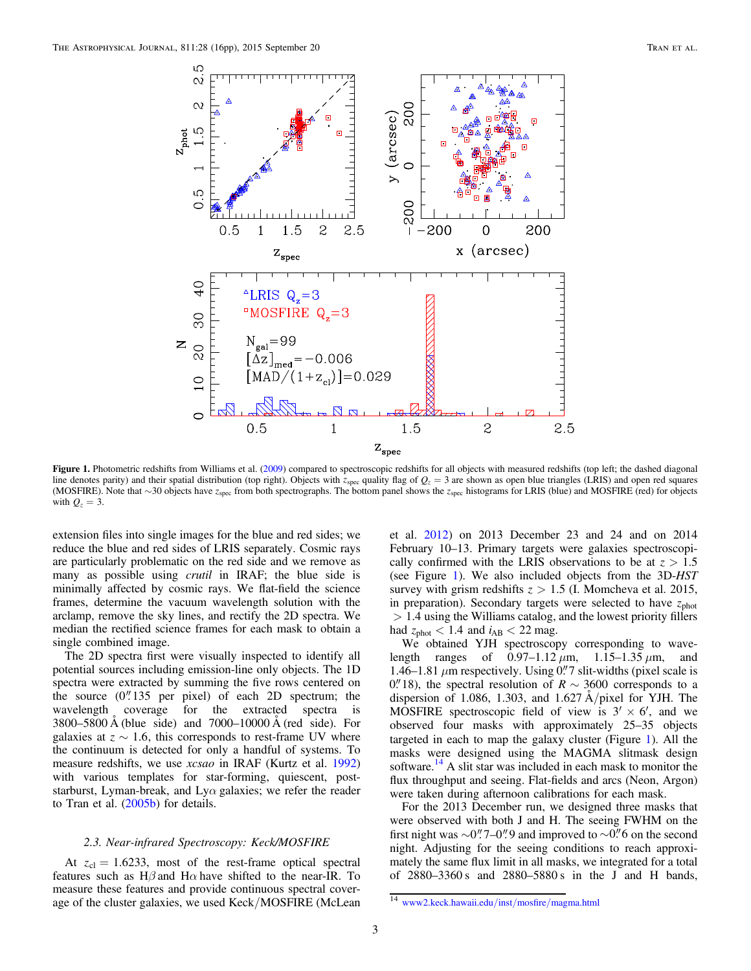<span id="page-2-0"></span>

Figure 1. Photometric redshifts from Williams et al. ([2009](#page-15-0)) compared to spectroscopic redshifts for all objects with measured redshifts (top left; the dashed diagonal line denotes parity) and their spatial distribution (top right). Objects with  $z_{\rm spec}$  quality flag of  $Q_z = 3$  are shown as open blue triangles (LRIS) and open red squares (MOSFIRE). Note that ∼30 objects have *z*spec from both spectrographs. The bottom panel shows the *z*spec histograms for LRIS (blue) and MOSFIRE (red) for objects with  $Q_z = 3$ .

extension files into single images for the blue and red sides; we reduce the blue and red sides of LRIS separately. Cosmic rays are particularly problematic on the red side and we remove as many as possible using *crutil* in IRAF; the blue side is minimally affected by cosmic rays. We flat-field the science frames, determine the vacuum wavelength solution with the arclamp, remove the sky lines, and rectify the 2D spectra. We median the rectified science frames for each mask to obtain a single combined image.

The 2D spectra first were visually inspected to identify all potential sources including emission-line only objects. The 1D spectra were extracted by summing the five rows centered on the source  $(0''.135$  per pixel) of each 2D spectrum; the wavelength coverage for the extracted spectra is 3800–5800 Å (blue side) and  $7000-10000$  Å (red side). For galaxies at  $z \sim 1.6$ , this corresponds to rest-frame UV where the continuum is detected for only a handful of systems. To measure redshifts, we use *xcsao* in IRAF (Kurtz et al. [1992](#page-14-0)) with various templates for star-forming, quiescent, poststarburst, Lyman-break, and Ly $\alpha$  galaxies; we refer the reader to Tran et al. ([2005b](#page-15-0)) for details.

# 2.3. Near-infrared Spectroscopy: Keck/MOSFIRE

At  $z_{\text{cl}} = 1.6233$ , most of the rest-frame optical spectral features such as H $\beta$  and H $\alpha$  have shifted to the near-IR. To measure these features and provide continuous spectral coverage of the cluster galaxies, we used Keck/MOSFIRE (McLean et al. [2012](#page-14-0)) on 2013 December 23 and 24 and on 2014 February 10–13. Primary targets were galaxies spectroscopically confirmed with the LRIS observations to be at  $z > 1.5$ (see Figure 1). We also included objects from the 3D-HST survey with grism redshifts  $z > 1.5$  (I. Momcheva et al. 2015, in preparation). Secondary targets were selected to have  $z_{\text{phot}}$ > 1.4 using the Williams catalog, and the lowest priority fillers had  $z_{phot}$  < 1.4 and  $i_{AB}$  < 22 mag.

We obtained YJH spectroscopy corresponding to wavelength ranges of  $0.97-1.12 \mu m$ ,  $1.15-1.35 \mu m$ , and 1.46–1.81  $\mu$ m respectively. Using 0.7 slit-widths (pixel scale is 0. 18), the spectral resolution of  $R \sim 3600$  corresponds to a dispersion of 1.086, 1.303, and 1.627 Å/pixel for YJH. The MOSFIRE spectroscopic field of view is  $3' \times 6'$ , and we observed four masks with approximately 25–35 objects targeted in each to map the galaxy cluster (Figure 1). All the masks were designed using the MAGMA slitmask design software.<sup>14</sup> A slit star was included in each mask to monitor the flux throughput and seeing. Flat-fields and arcs (Neon, Argon) were taken during afternoon calibrations for each mask.

For the 2013 December run, we designed three masks that were observed with both J and H. The seeing FWHM on the first night was  $\sim 0$ ". 7–0". 9 and improved to  $\sim 0$ ". 6 on the second night. Adjusting for the seeing conditions to reach approximately the same flux limit in all masks, we integrated for a total of 2880–3360 s and 2880–5880 s in the J and H bands,

<sup>14</sup> [www2.keck.hawaii.edu](www2.keck.hawaii.edu/inst/mosfire/magma.html)/inst/mosfire/magma.html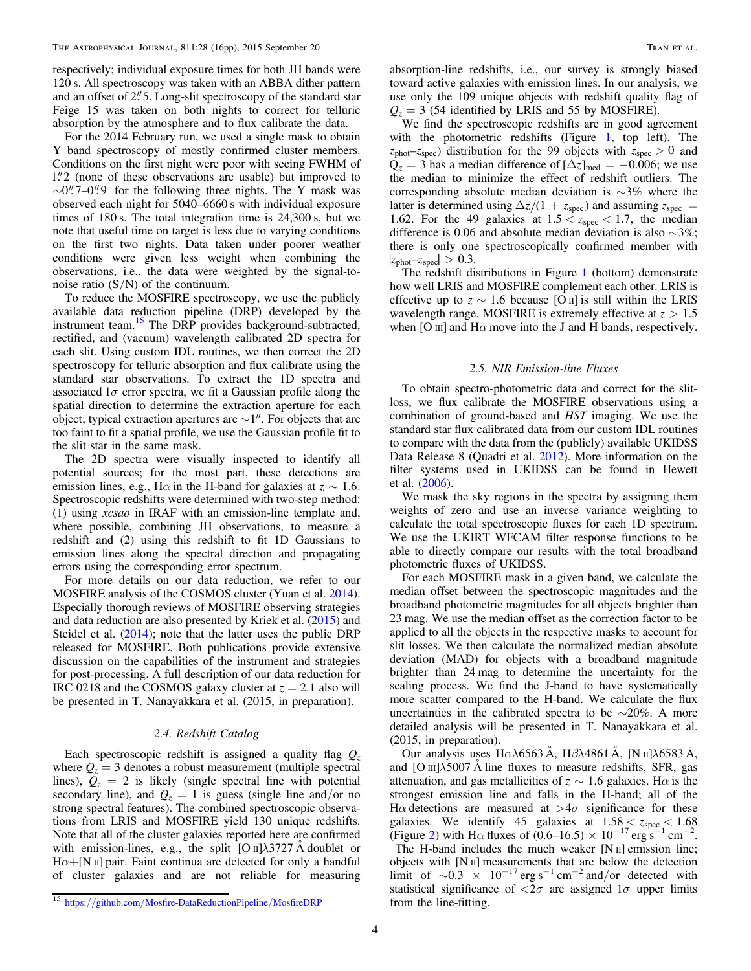respectively; individual exposure times for both JH bands were 120 s. All spectroscopy was taken with an ABBA dither pattern and an offset of 2.<sup>*n*</sup> 5. Long-slit spectroscopy of the standard star Feige 15 was taken on both nights to correct for telluric absorption by the atmosphere and to flux calibrate the data.

For the 2014 February run, we used a single mask to obtain Y band spectroscopy of mostly confirmed cluster members. Conditions on the first night were poor with seeing FWHM of 1.2 (none of these observations are usable) but improved to  $\sim 0$ ". 7–0". 9 for the following three nights. The Y mask was observed each night for 5040–6660 s with individual exposure times of 180 s. The total integration time is 24,300 s, but we note that useful time on target is less due to varying conditions on the first two nights. Data taken under poorer weather conditions were given less weight when combining the observations, i.e., the data were weighted by the signal-tonoise ratio  $(S/N)$  of the continuum.

To reduce the MOSFIRE spectroscopy, we use the publicly available data reduction pipeline (DRP) developed by the instrument team.<sup>15</sup> The DRP provides background-subtracted, rectified, and (vacuum) wavelength calibrated 2D spectra for each slit. Using custom IDL routines, we then correct the 2D spectroscopy for telluric absorption and flux calibrate using the standard star observations. To extract the 1D spectra and associated  $1\sigma$  error spectra, we fit a Gaussian profile along the spatial direction to determine the extraction aperture for each object; typical extraction apertures are  $\sim$  1". For objects that are too faint to fit a spatial profile, we use the Gaussian profile fit to the slit star in the same mask.

The 2D spectra were visually inspected to identify all potential sources; for the most part, these detections are emission lines, e.g., H $\alpha$  in the H-band for galaxies at  $z \sim 1.6$ . Spectroscopic redshifts were determined with two-step method: (1) using xcsao in IRAF with an emission-line template and, where possible, combining JH observations, to measure a redshift and (2) using this redshift to fit 1D Gaussians to emission lines along the spectral direction and propagating errors using the corresponding error spectrum.

For more details on our data reduction, we refer to our MOSFIRE analysis of the COSMOS cluster (Yuan et al. [2014](#page-15-0)). Especially thorough reviews of MOSFIRE observing strategies and data reduction are also presented by Kriek et al. ([2015](#page-14-0)) and Steidel et al. ([2014](#page-15-0)); note that the latter uses the public DRP released for MOSFIRE. Both publications provide extensive discussion on the capabilities of the instrument and strategies for post-processing. A full description of our data reduction for IRC 0218 and the COSMOS galaxy cluster at  $z = 2.1$  also will be presented in T. Nanayakkara et al. (2015, in preparation).

## 2.4. Redshift Catalog

Each spectroscopic redshift is assigned a quality flag  $Q_z$ where  $Q_z = 3$  denotes a robust measurement (multiple spectral lines),  $Q_z = 2$  is likely (single spectral line with potential secondary line), and  $Q_z = 1$  is guess (single line and/or no strong spectral features). The combined spectroscopic observations from LRIS and MOSFIRE yield 130 unique redshifts. Note that all of the cluster galaxies reported here are confirmed with emission-lines, e.g., the split [O II] $\lambda$ 3727 Å doublet or  $H\alpha + [N \pi]$  pair. Faint continua are detected for only a handful of cluster galaxies and are not reliable for measuring

absorption-line redshifts, i.e., our survey is strongly biased toward active galaxies with emission lines. In our analysis, we use only the 109 unique objects with redshift quality flag of  $Q_z = 3$  (54 identified by LRIS and 55 by MOSFIRE).

We find the spectroscopic redshifts are in good agreement with the photometric redshifts (Figure [1](#page-2-0), top left). The  $z_{phot}$ – $z_{spec}$ ) distribution for the 99 objects with  $z_{spec} > 0$  and  $Q_z = 3$  has a median difference of  $[\Delta z]_{\text{med}} = -0.006$ ; we use the median to minimize the effect of redshift outliers. The corresponding absolute median deviation is ∼3% where the latter is determined using  $\Delta z/(1 + z_{\text{spec}})$  and assuming  $z_{\text{spec}} =$ 1.62. For the 49 galaxies at  $1.5 < z<sub>spec</sub> < 1.7$ , the median difference is 0.06 and absolute median deviation is also ∼3%; there is only one spectroscopically confirmed member with  $|z_{phot}$ – $z_{spec}|$  > 0.3.

The redshift distributions in Figure [1](#page-2-0) (bottom) demonstrate how well LRIS and MOSFIRE complement each other. LRIS is effective up to  $z \sim 1.6$  because [O II] is still within the LRIS wavelength range. MOSFIRE is extremely effective at *z* > 1.5 when [O  $\text{III}$ ] and H $\alpha$  move into the J and H bands, respectively.

#### 2.5. NIR Emission-line Fluxes

To obtain spectro-photometric data and correct for the slitloss, we flux calibrate the MOSFIRE observations using a combination of ground-based and HST imaging. We use the standard star flux calibrated data from our custom IDL routines to compare with the data from the (publicly) available UKIDSS Data Release 8 (Quadri et al. [2012](#page-14-0)). More information on the filter systems used in UKIDSS can be found in Hewett et al. ([2006](#page-14-0)).

We mask the sky regions in the spectra by assigning them weights of zero and use an inverse variance weighting to calculate the total spectroscopic fluxes for each 1D spectrum. We use the UKIRT WFCAM filter response functions to be able to directly compare our results with the total broadband photometric fluxes of UKIDSS.

For each MOSFIRE mask in a given band, we calculate the median offset between the spectroscopic magnitudes and the broadband photometric magnitudes for all objects brighter than 23 mag. We use the median offset as the correction factor to be applied to all the objects in the respective masks to account for slit losses. We then calculate the normalized median absolute deviation (MAD) for objects with a broadband magnitude brighter than 24 mag to determine the uncertainty for the scaling process. We find the J-band to have systematically more scatter compared to the H-band. We calculate the flux uncertainties in the calibrated spectra to be ∼20%. A more detailed analysis will be presented in T. Nanayakkara et al. (2015, in preparation).

Our analysis uses Hα*l*6563 Å, Hβ*l*4861 Å, [N II]*l*6583 Å, and  $[O \text{ m}]$  $\lambda$ 5007 Å line fluxes to measure redshifts, SFR, gas attenuation, and gas metallicities of  $z \sim 1.6$  galaxies. H $\alpha$  is the strongest emission line and falls in the H-band; all of the H $\alpha$  detections are measured at  $>4\sigma$  significance for these galaxies. We identify 45 galaxies at  $1.58 \le z<sub>spec</sub> \le 1.68$ (Figure [2](#page-4-0)) with H $\alpha$  fluxes of (0.6–16.5) × 10<sup>-17</sup> erg s<sup>-1</sup> cm<sup>-2</sup>. The H-band includes the much weaker [N II] emission line; objects with [N II] measurements that are below the detection limit of  $\sim$ 0.3 × 10<sup>-17</sup> erg s<sup>-1</sup> cm<sup>-2</sup> and/or detected with statistical significance of  $\langle 2\sigma \rangle$  are assigned  $1\sigma$  upper limits

<sup>&</sup>lt;sup>15</sup> https://github.com/Mosfi[re-DataReductionPipeline](https://github.com/Mosfire-DataReductionPipeline/MosfireDRP)/MosfireDRP from the line-fitting.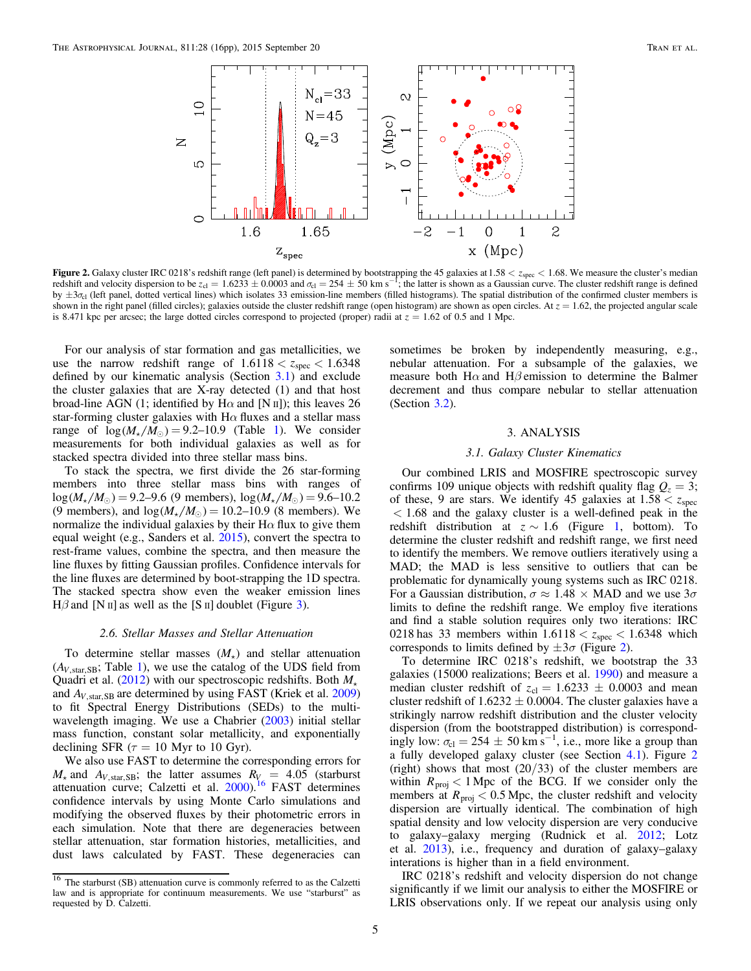<span id="page-4-0"></span>

**Figure 2.** Galaxy cluster IRC 0218's redshift range (left panel) is determined by bootstrapping the 45 galaxies at 1.58 <  $z_{\text{spec}}$  < 1.68. We measure the cluster's median redshift and velocity dispersion to be  $z_{\text{cl}} =$ by  $\pm 3\sigma_{\rm cl}$  (left panel, dotted vertical lines) which isolates 33 emission-line members (filled histograms). The spatial distribution of the confirmed cluster members is shown in the right panel (filled circles); galaxies outside the cluster redshift range (open histogram) are shown as open circles. At  $z = 1.62$ , the projected angular scale is 8.471 kpc per arcsec; the large dotted circles correspond to projected (proper) radii at  $z = 1.62$  of 0.5 and 1 Mpc.

For our analysis of star formation and gas metallicities, we use the narrow redshift range of  $1.6118 < z<sub>spec</sub> < 1.6348$ defined by our kinematic analysis (Section 3.1) and exclude the cluster galaxies that are X-ray detected (1) and that host broad-line AGN (1; identified by H $\alpha$  and [N  $\text{II}$ ]); this leaves 26 star-forming cluster galaxies with  $H\alpha$  fluxes and a stellar mass range of  $log(M_{\star}/M_{\odot}) = 9.2{\text -}10.9$  $log(M_{\star}/M_{\odot}) = 9.2{\text -}10.9$  $log(M_{\star}/M_{\odot}) = 9.2{\text -}10.9$  (Table 1). We consider measurements for both individual galaxies as well as for stacked spectra divided into three stellar mass bins.

To stack the spectra, we first divide the 26 star-forming members into three stellar mass bins with ranges of  $log(M_{\star}/M_{\odot}) = 9.2{\text -}9.6$  (9 members),  $log(M_{\star}/M_{\odot}) = 9.6{\text -}10.2$ (9 members), and  $log(M_{\star}/M_{\odot}) = 10.2{\text -}10.9$  (8 members). We normalize the individual galaxies by their  $H\alpha$  flux to give them equal weight (e.g., Sanders et al. [2015](#page-14-0)), convert the spectra to rest-frame values, combine the spectra, and then measure the line fluxes by fitting Gaussian profiles. Confidence intervals for the line fluxes are determined by boot-strapping the 1D spectra. The stacked spectra show even the weaker emission lines  $H\beta$  and [N II] as well as the [S II] doublet (Figure [3](#page-6-0)).

#### 2.6. Stellar Masses and Stellar Attenuation

To determine stellar masses  $(M_{\star})$  and stellar attenuation  $(A<sub>V,star,SB</sub>; Table 1)$  $(A<sub>V,star,SB</sub>; Table 1)$  $(A<sub>V,star,SB</sub>; Table 1)$ , we use the catalog of the UDS field from Quadri et al. ([2012](#page-14-0)) with our spectroscopic redshifts. Both *M* and  $A_{V, \text{star, SB}}$  are determined by using FAST (Kriek et al. [2009](#page-14-0)) to fit Spectral Energy Distributions (SEDs) to the multi-wavelength imaging. We use a Chabrier ([2003](#page-14-0)) initial stellar mass function, constant solar metallicity, and exponentially declining SFR ( $\tau = 10$  Myr to 10 Gyr).

We also use FAST to determine the corresponding errors for  $M_{\star}$  and  $A_{V, \text{star, SB}}$ ; the latter assumes  $R_{V_{\star}} = 4.05$  (starburst attenuation curve; Calzetti et al. [2000](#page-14-0)).<sup>16</sup> FAST determines confidence intervals by using Monte Carlo simulations and modifying the observed fluxes by their photometric errors in each simulation. Note that there are degeneracies between stellar attenuation, star formation histories, metallicities, and dust laws calculated by FAST. These degeneracies can

sometimes be broken by independently measuring, e.g., nebular attenuation. For a subsample of the galaxies, we measure both H $\alpha$  and H $\beta$  emission to determine the Balmer decrement and thus compare nebular to stellar attenuation (Section [3.2](#page-5-0)).

#### 3. ANALYSIS

# 3.1. Galaxy Cluster Kinematics

Our combined LRIS and MOSFIRE spectroscopic survey confirms 109 unique objects with redshift quality flag  $Q_z = 3$ ; of these, 9 are stars. We identify 45 galaxies at  $1.58 < z<sub>spec</sub>$  $<$  1.68 and the galaxy cluster is a well-defined peak in the redshift distribution at  $z \sim 1.6$  (Figure [1,](#page-2-0) bottom). To determine the cluster redshift and redshift range, we first need to identify the members. We remove outliers iteratively using a MAD; the MAD is less sensitive to outliers that can be problematic for dynamically young systems such as IRC 0218. For a Gaussian distribution,  $\sigma \approx 1.48 \times \text{MAD}$  and we use  $3\sigma$ limits to define the redshift range. We employ five iterations and find a stable solution requires only two iterations: IRC 0218 has 33 members within  $1.6118 < z_{\text{spec}} < 1.6348$  which corresponds to limits defined by  $\pm 3\sigma$  (Figure 2).

To determine IRC 0218's redshift, we bootstrap the 33 galaxies (15000 realizations; Beers et al. [1990](#page-14-0)) and measure a median cluster redshift of  $z_{cl} = 1.6233 \pm 0.0003$  and mean cluster redshift of  $1.6232 \pm 0.0004$ . The cluster galaxies have a strikingly narrow redshift distribution and the cluster velocity dispersion (from the bootstrapped distribution) is correspondingly low:  $\sigma_{\text{cl}} = 254 \pm 50 \text{ km s}^{-1}$ , i.e., more like a group than a fully developed galaxy cluster (see Section [4.1](#page-8-0)). Figure 2 (right) shows that most  $(20/33)$  of the cluster members are within  $R_{\text{proj}} < 1$  Mpc of the BCG. If we consider only the members at  $R_{\text{proj}} < 0.5$  Mpc, the cluster redshift and velocity dispersion are virtually identical. The combination of high spatial density and low velocity dispersion are very conducive to galaxy–galaxy merging (Rudnick et al. [2012;](#page-14-0) Lotz et al. [2013](#page-14-0)), i.e., frequency and duration of galaxy–galaxy interations is higher than in a field environment.

IRC 0218's redshift and velocity dispersion do not change significantly if we limit our analysis to either the MOSFIRE or LRIS observations only. If we repeat our analysis using only

<sup>&</sup>lt;sup>16</sup> The starburst (SB) attenuation curve is commonly referred to as the Calzetti law and is appropriate for continuum measurements. We use "starburst" as requested by D. Calzetti.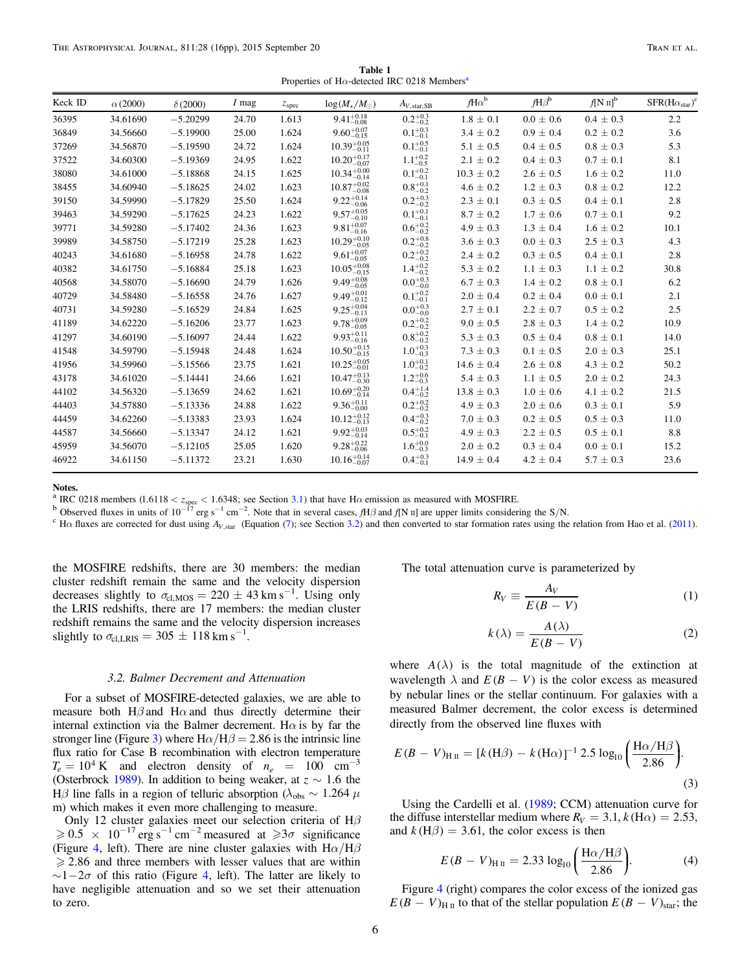Properties of H $\alpha$ -detected IRC 0218 Members<sup>a</sup>

<span id="page-5-0"></span>

| Keck ID | $\alpha$ (2000) | $\delta(2000)$ | 1 mag | z <sub>spec</sub> | $log(M_{\star}/M_{\odot})$ | $A_{V, \text{star, SB}}$ | $fH\alpha^b$   | $fH\beta^b$   | $f[N\,\mathrm{II}]^{\mathrm{b}}$ | $SFR(H\alpha_{star})^c$ |
|---------|-----------------|----------------|-------|-------------------|----------------------------|--------------------------|----------------|---------------|----------------------------------|-------------------------|
| 36395   | 34.61690        | $-5.20299$     | 24.70 | 1.613             | $9.41_{-0.08}^{+0.18}$     | $0.2^{+0.3}_{-0.2}$      | $1.8 \pm 0.1$  | $0.0 \pm 0.6$ | $0.4 \pm 0.3$                    | 2.2                     |
| 36849   | 34.56660        | $-5.19900$     | 25.00 | 1.624             | $9.60_{-0.15}^{+0.07}$     | $0.1^{+0.3}_{-0.1}$      | $3.4 \pm 0.2$  | $0.9 \pm 0.4$ | $0.2 \pm 0.2$                    | 3.6                     |
| 37269   | 34.56870        | $-5.19590$     | 24.72 | 1.624             | $10.39_{-0.11}^{+0.05}$    | $0.1^{+0.5}_{-0.1}$      | $5.1 \pm 0.5$  | $0.4 \pm 0.5$ | $0.8 \pm 0.3$                    | 5.3                     |
| 37522   | 34.60300        | $-5.19369$     | 24.95 | 1.622             | $10.20^{+0.17}_{-0.07}$    | $1.1^{+0.2}_{-0.5}$      | $2.1 \pm 0.2$  | $0.4 \pm 0.3$ | $0.7 \pm 0.1$                    | 8.1                     |
| 38080   | 34.61000        | $-5.18868$     | 24.15 | 1.625             | $10.34_{-0.14}^{+0.00}$    | $0.1^{+0.2}_{-0.1}$      | $10.3 \pm 0.2$ | $2.6 \pm 0.5$ | $1.6 \pm 0.2$                    | 11.0                    |
| 38455   | 34.60940        | $-5.18625$     | 24.02 | 1.623             | $10.87^{+0.02}_{-0.08}$    | $0.8^{+0.1}_{-0.2}$      | $4.6 \pm 0.2$  | $1.2 \pm 0.3$ | $0.8 \pm 0.2$                    | 12.2                    |
| 39150   | 34.59990        | $-5.17829$     | 25.50 | 1.624             | $9.22_{-0.06}^{+0.14}$     | $0.2^{+0.3}_{-0.2}$      | $2.3 \pm 0.1$  | $0.3 \pm 0.5$ | $0.4 \pm 0.1$                    | 2.8                     |
| 39463   | 34.59290        | $-5.17625$     | 24.23 | 1.622             | $9.57^{+0.05}_{-0.10}$     | $0.1^{+0.1}_{-0.1}$      | $8.7 \pm 0.2$  | $1.7 \pm 0.6$ | $0.7 \pm 0.1$                    | 9.2                     |
| 39771   | 34.59280        | $-5.17402$     | 24.36 | 1.623             | $9.81^{+0.07}_{-0.16}$     | $0.6^{+0.2}_{-0.2}$      | $4.9 \pm 0.3$  | $1.3 \pm 0.4$ | $1.6 \pm 0.2$                    | 10.1                    |
| 39989   | 34.58750        | $-5.17219$     | 25.28 | 1.623             | $10.29_{-0.05}^{+0.10}$    | $0.2^{+0.8}_{-0.2}$      | $3.6 \pm 0.3$  | $0.0 \pm 0.3$ | $2.5 \pm 0.3$                    | 4.3                     |
| 40243   | 34.61680        | $-5.16958$     | 24.78 | 1.622             | $9.61_{-0.05}^{+0.07}$     | $0.2^{+0.2}_{-0.2}$      | $2.4 \pm 0.2$  | $0.3 \pm 0.5$ | $0.4 \pm 0.1$                    | 2.8                     |
| 40382   | 34.61750        | $-5.16884$     | 25.18 | 1.623             | $10.05_{-0.15}^{+0.08}$    | $1.4^{+0.2}_{-0.2}$      | $5.3 \pm 0.2$  | $1.1 \pm 0.3$ | $1.1 \pm 0.2$                    | 30.8                    |
| 40568   | 34.58070        | $-5.16690$     | 24.79 | 1.626             | $9.49_{-0.05}^{+0.08}$     | $0.0^{+0.3}_{-0.0}$      | $6.7 \pm 0.3$  | $1.4 \pm 0.2$ | $0.8 \pm 0.1$                    | 6.2                     |
| 40729   | 34.58480        | $-5.16558$     | 24.76 | 1.627             | $9.49_{-0.12}^{+0.01}$     | $0.1^{+0.2}_{-0.1}$      | $2.0 \pm 0.4$  | $0.2 \pm 0.4$ | $0.0 \pm 0.1$                    | 2.1                     |
| 40731   | 34.59280        | $-5.16529$     | 24.84 | 1.625             | $9.25_{-0.13}^{+0.04}$     | $0.0^{+0.3}_{-0.0}$      | $2.7 \pm 0.1$  | $2.2 \pm 0.7$ | $0.5 \pm 0.2$                    | 2.5                     |
| 41189   | 34.62220        | $-5.16206$     | 23.77 | 1.623             | $9.78_{-0.05}^{+0.09}$     | $0.2^{+0.2}_{-0.2}$      | $9.0 \pm 0.5$  | $2.8 \pm 0.3$ | $1.4 \pm 0.2$                    | 10.9                    |
| 41297   | 34.60190        | $-5.16097$     | 24.44 | 1.622             | $9.93_{-0.16}^{+0.11}$     | $0.8^{+0.2}_{-0.2}$      | $5.3 \pm 0.3$  | $0.5 \pm 0.4$ | $0.8 \pm 0.1$                    | 14.0                    |
| 41548   | 34.59790        | $-5.15948$     | 24.48 | 1.624             | $10.50^{+0.15}_{-0.15}$    | $1.0^{+0.3}_{-0.3}$      | $7.3 \pm 0.3$  | $0.1 \pm 0.5$ | $2.0 \pm 0.3$                    | 25.1                    |
| 41956   | 34.59960        | $-5.15566$     | 23.75 | 1.621             | $10.25_{-0.01}^{+0.05}$    | $1.0^{+0.1}_{-0.2}$      | $14.6 \pm 0.4$ | $2.6 \pm 0.8$ | $4.3 \pm 0.2$                    | 50.2                    |
| 43178   | 34.61020        | $-5.14441$     | 24.66 | 1.621             | $10.47^{+0.13}_{-0.30}$    | $1.2^{+0.6}_{-0.3}$      | $5.4 \pm 0.3$  | $1.1 \pm 0.5$ | $2.0 \pm 0.2$                    | 24.3                    |
| 44102   | 34.56320        | $-5.13659$     | 24.62 | 1.621             | $10.69^{+0.20}_{-0.14}$    | $0.4^{+1.4}_{-0.2}$      | $13.8 \pm 0.3$ | $1.0 \pm 0.6$ | $4.1 \pm 0.2$                    | 21.5                    |
| 44403   | 34.57880        | $-5.13336$     | 24.88 | 1.622             | $9.36_{-0.00}^{+0.11}$     | $0.2^{+0.2}_{-0.2}$      | $4.9 \pm 0.3$  | $2.0 \pm 0.6$ | $0.3 \pm 0.1$                    | 5.9                     |
| 44459   | 34.62260        | $-5.13383$     | 23.93 | 1.624             | $10.12_{-0.13}^{+0.12}$    | $0.4^{+0.3}_{-0.2}$      | $7.0 \pm 0.3$  | $0.2 \pm 0.5$ | $0.5 \pm 0.3$                    | 11.0                    |
| 44587   | 34.56660        | $-5.13347$     | 24.12 | 1.621             | $9.92^{+0.03}_{-0.14}$     | $0.5^{+0.2}_{-0.1}$      | $4.9 \pm 0.3$  | $2.2 \pm 0.5$ | $0.5 \pm 0.1$                    | 8.8                     |
| 45959   | 34.56070        | $-5.12105$     | 25.05 | 1.620             | $9.28_{-0.06}^{+0.22}$     | $1.6^{+0.0}_{-0.3}$      | $2.0 \pm 0.2$  | $0.3 \pm 0.4$ | $0.0 \pm 0.1$                    | 15.2                    |
| 46922   | 34.61150        | $-5.11372$     | 23.21 | 1.630             | $10.16_{-0.07}^{+0.14}$    | $0.4^{+0.3}_{-0.1}$      | $14.9 \pm 0.4$ | $4.2 \pm 0.4$ | $5.7 \pm 0.3$                    | 23.6                    |
|         |                 |                |       |                   |                            |                          |                |               |                                  |                         |

<sup>a</sup> IRC 0218 members (1.6118 < *z*<sub>spec</sub> < 1.6348; see Section [3.1](#page-4-0)) that have H $\alpha$  emission as measured with MOSFIRE. b Observed fluxes in units of 10<sup>-17</sup> erg s<sup>-1</sup> cm<sup>-2</sup>. Note that in several cases,  $fH\beta$  and  $f[N]$  u

 ${}^{\rm c}$  H $\alpha$  fluxes are corrected for dust using  $A_{V, \text{star}}$  (Equation ([7](#page-6-0)); see Section 3.2) and then converted to star formation rates using the relation from Hao et al. ([2011](#page-14-0)).

the MOSFIRE redshifts, there are 30 members: the median cluster redshift remain the same and the velocity dispersion decreases slightly to  $\sigma_{\text{cl,MOS}} = 220 \pm 43 \text{ km s}^{-1}$ . Using only the LRIS redshifts, there are 17 members: the median cluster redshift remains the same and the velocity dispersion increases slightly to  $\sigma_{\text{cl,LRIS}} = 305 \pm 118 \text{ km s}^{-1}$ .

#### 3.2. Balmer Decrement and Attenuation

For a subset of MOSFIRE-detected galaxies, we are able to measure both  $H\beta$  and  $H\alpha$  and thus directly determine their internal extinction via the Balmer decrement. H $\alpha$  is by far the stronger line (Figure [3](#page-6-0)) where  $H\alpha/H\beta = 2.86$  is the intrinsic line flux ratio for Case B recombination with electron temperature  $T_e = 10^4$  K and electron density of  $n_e = 100$  cm<sup>-3</sup> (Osterbrock [1989](#page-14-0)). In addition to being weaker, at  $z \sim 1.6$  the Hβ line falls in a region of telluric absorption ( $λ<sub>obs</sub> \sim 1.264$   $μ$ m) which makes it even more challenging to measure.

Only 12 cluster galaxies meet our selection criteria of  $H\beta$  $\geqslant 0.5 \times 10^{-17}$  erg s<sup>-1</sup> cm<sup>-2</sup> measured at  $\geqslant 3\sigma$  significance (Figure [4,](#page-7-0) left). There are nine cluster galaxies with  $H\alpha/H\beta$  $\geq$  2.86 and three members with lesser values that are within  $\sim$ 1-2 $\sigma$  of this ratio (Figure [4](#page-7-0), left). The latter are likely to have negligible attenuation and so we set their attenuation to zero.

The total attenuation curve is parameterized by

$$
R_V \equiv \frac{A_V}{E(B-V)}\tag{1}
$$

$$
k(\lambda) = \frac{A(\lambda)}{E(B - V)}
$$
 (2)

where  $A(\lambda)$  is the total magnitude of the extinction at wavelength  $\lambda$  and  $E(B - V)$  is the color excess as measured by nebular lines or the stellar continuum. For galaxies with a measured Balmer decrement, the color excess is determined directly from the observed line fluxes with

$$
E(B - V)_{\text{H II}} = [k(\text{H}\beta) - k(\text{H}\alpha)]^{-1} 2.5 \log_{10} \left( \frac{\text{H}\alpha/\text{H}\beta}{2.86} \right).
$$
\n(3)

Using the Cardelli et al. ([1989;](#page-14-0) CCM) attenuation curve for the diffuse interstellar medium where  $R_V = 3.1$ ,  $k(\text{H}\alpha) = 2.53$ , and  $k(H\beta) = 3.61$ , the color excess is then

$$
E(B - V)_{\text{H II}} = 2.33 \log_{10} \left( \frac{\text{H}\alpha/\text{H}\beta}{2.86} \right).
$$
 (4)

Figure [4](#page-7-0) (right) compares the color excess of the ionized gas  $E(B - V)_{\text{H II}}$  to that of the stellar population  $E(B - V)_{\text{star}}$ ; the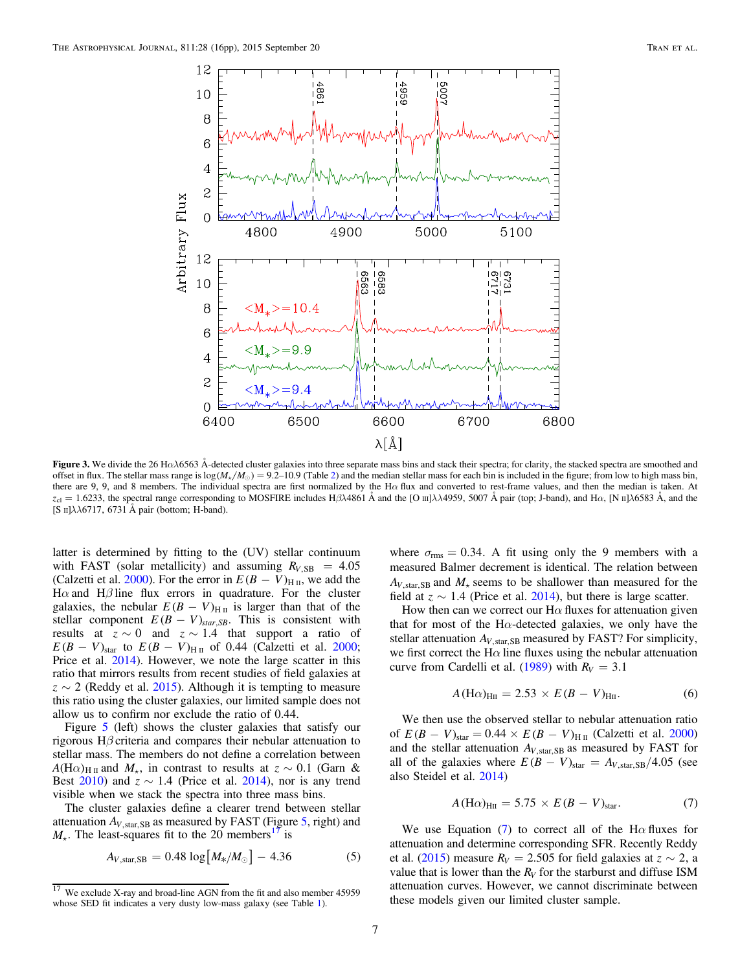<span id="page-6-0"></span>

Figure 3. We divide the 26 H $\alpha$  $\lambda$ 6563 Å-detected cluster galaxies into three separate mass bins and stack their spectra; for clarity, the stacked spectra are smoothed and offset in flux. The stellar mass range is  $log(M_{\star}/M_{\odot}) = 9.2{\text -}10.9$  $log(M_{\star}/M_{\odot}) = 9.2{\text -}10.9$  $log(M_{\star}/M_{\odot}) = 9.2{\text -}10.9$  (Table 2) and the median stellar mass for each bin is included in the figure; from low to high mass bin, there are 9, 9, and 8 members. The individual spectra are first normalized by the H $\alpha$  flux and converted to rest-frame values, and then the median is taken. At  $z_{\text{cl}} = 1.6233$ , the spectral range corresponding to MOSFIRE includes H $\beta\lambda$ 4861 Å and the [O III] $\lambda\lambda$ 4959, 5007 Å pair (top; J-band), and H $\alpha$ , [N II] $\lambda$ 6583 Å, and the [S  $\text{II}$ ] $\lambda\lambda$ 6717, 6731 Å pair (bottom; H-band).

latter is determined by fitting to the (UV) stellar continuum with FAST (solar metallicity) and assuming  $R_{V,SB} = 4.05$ (Calzetti et al. [2000](#page-14-0)). For the error in  $E(B - V)_{\text{H II}}$ , we add the H $\alpha$  and H $\beta$  line flux errors in quadrature. For the cluster galaxies, the nebular  $E(B - V)_{\text{H II}}$  is larger than that of the stellar component  $E(B - V)_{star, SB}$ . This is consistent with results at  $z \sim 0$  and  $z \sim 1.4$  that support a ratio of  $E(B - V)_{\text{star}}$  to  $E(B - V)_{\text{H II}}$  of 0.44 (Calzetti et al. [2000](#page-14-0); Price et al. [2014](#page-14-0)). However, we note the large scatter in this ratio that mirrors results from recent studies of field galaxies at  $z \sim 2$  (Reddy et al. [2015](#page-14-0)). Although it is tempting to measure this ratio using the cluster galaxies, our limited sample does not allow us to confirm nor exclude the ratio of 0.44.

Figure [5](#page-8-0) (left) shows the cluster galaxies that satisfy our rigorous H $\beta$  criteria and compares their nebular attenuation to stellar mass. The members do not define a correlation between  $A(H\alpha)_{H\text{II}}$  and  $M_{\star}$ , in contrast to results at  $z \sim 0.1$  (Garn & Best  $2010$ ) and  $z \sim 1.4$  (Price et al. [2014](#page-14-0)), nor is any trend visible when we stack the spectra into three mass bins.

The cluster galaxies define a clearer trend between stellar attenuation  $A_{V, \text{star, SB}}$  as measured by FAST (Figure [5,](#page-8-0) right) and  $M_{\star}$ . The least-squares fit to the 20 members<sup>17</sup> is

$$
A_{V,\text{star,SB}} = 0.48 \log \left[ M_{*}/M_{\odot} \right] - 4.36 \tag{5}
$$

where  $\sigma_{\rm rms} = 0.34$ . A fit using only the 9 members with a measured Balmer decrement is identical. The relation between  $A_V$ <sub>star</sub> s<sub>B</sub> and  $M_{+}$  seems to be shallower than measured for the field at  $z \sim 1.4$  (Price et al. [2014](#page-14-0)), but there is large scatter.

How then can we correct our  $H\alpha$  fluxes for attenuation given that for most of the H $\alpha$ -detected galaxies, we only have the stellar attenuation  $A_{V, \text{star, SB}}$  measured by FAST? For simplicity, we first correct the H $\alpha$  line fluxes using the nebular attenuation curve from Cardelli et al. ([1989](#page-14-0)) with  $R_V = 3.1$ 

$$
A(\text{H}\alpha)_{\text{HII}} = 2.53 \times E(B - V)_{\text{HII}}.
$$
 (6)

We then use the observed stellar to nebular attenuation ratio of  $E(B - V)_{\text{star}} = 0.44 \times E(B - V)_{\text{H II}}$  (Calzetti et al. [2000](#page-14-0)) and the stellar attenuation  $A_{V, \text{star, SB}}$  as measured by FAST for all of the galaxies where  $E(B - V)_{\text{star}} = A_{V,\text{star,SB}}/4.05$  (see also Steidel et al. [2014](#page-15-0))

$$
A(\text{H}\alpha)_{\text{HII}} = 5.75 \times E(B - V)_{\text{star}}.\tag{7}
$$

We use Equation (7) to correct all of the H $\alpha$  fluxes for attenuation and determine corresponding SFR. Recently Reddy et al. ([2015](#page-14-0)) measure  $R_V = 2.505$  for field galaxies at  $z \sim 2$ , a value that is lower than the  $R_V$  for the starburst and diffuse ISM attenuation curves. However, we cannot discriminate between these models given our limited cluster sample.

 $17$  We exclude X-ray and broad-line AGN from the fit and also member 45959 whose SED fit indicates a very dusty low-mass galaxy (see Table [1](#page-5-0)).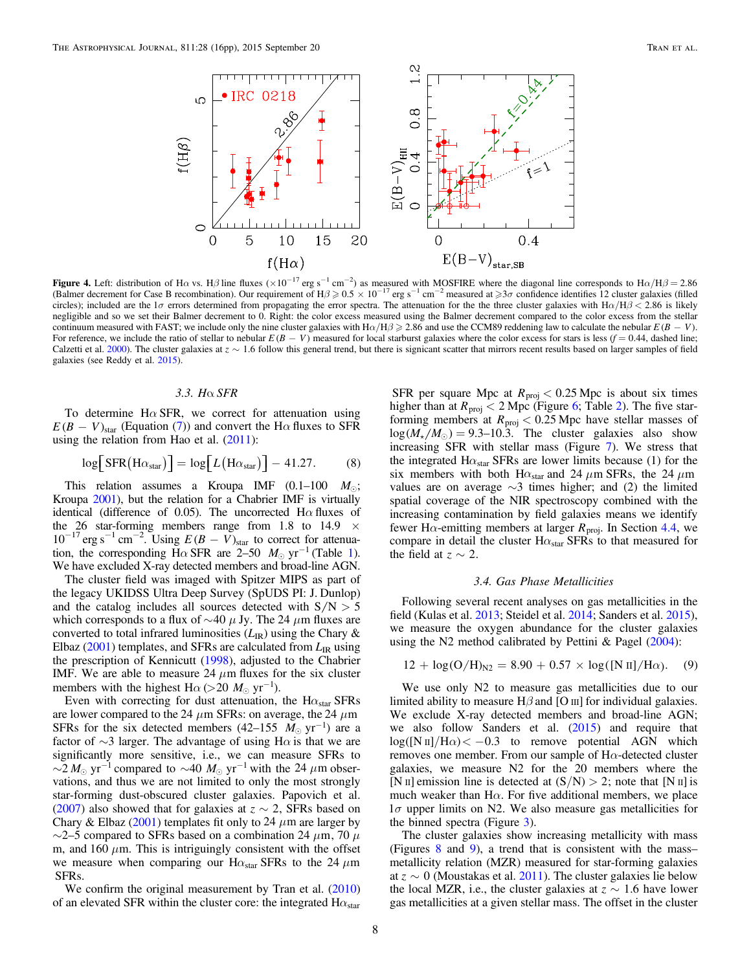<span id="page-7-0"></span>

**Figure 4.** Left: distribution of H $\alpha$  vs. H $\beta$  line fluxes ( $\times 10^{-17}$  erg s<sup>-1</sup> cm<sup>-2</sup>) as measured with MOSFIRE where the diagonal line corresponds to H $\alpha/H\beta = 2.86$ <br>(Balmer decrement for Case B recombination). Our (Balmer decrement for Case B recombination). Our requirement of H $\beta \ge 0.5 \times 10^{-17}$  erg s<sup>-1</sup> cm<sup>-2</sup> measured at  $\ge 3\sigma$  confidence identifies 12 cluster galaxies (filled circles); included are the 1*σ* errors determined from propagating the error spectra. The attenuation for the three cluster galaxies with  $H\alpha/H\beta < 2.86$  is likely negligible and so we set their Balmer decrement to 0. Right: the color excess measured using the Balmer decrement compared to the color excess from the stellar continuum measured with FAST; we include only the nine cluster galaxies with  $H\alpha/H\beta \geq 2.86$  and use the CCM89 reddening law to calculate the nebular  $E(B - V)$ . For reference, we include the ratio of stellar to nebular  $E(B - V)$  measured for local starburst galaxies where the color excess for stars is less  $(f = 0.44$ , dashed line; Calzetti et al. [2000](#page-14-0)). The cluster galaxies at  $z \sim 1.6$  follow this general trend, but there is signicant scatter that mirrors recent results based on larger samples of field galaxies (see Reddy et al. [2015](#page-14-0)).

# 3.3. Hα SFR

To determine H $\alpha$  SFR, we correct for attenuation using  $E(B - V)_{\text{star}}$  (Equation ([7](#page-6-0))) and convert the H $\alpha$  fluxes to SFR using the relation from Hao et al.  $(2011)$  $(2011)$  $(2011)$ :

$$
\log[\text{SFR}(\text{H}\alpha_{\text{star}})] = \log[L(\text{H}\alpha_{\text{star}})] - 41.27. \tag{8}
$$

This relation assumes a Kroupa IMF  $(0.1-100 \ M_{\odot})$ ; Kroupa [2001](#page-14-0)), but the relation for a Chabrier IMF is virtually identical (difference of 0.05). The uncorrected  $H\alpha$  fluxes of the 26 star-forming members range from 1.8 to 14.9  $\times$  $10^{-17}$  erg s<sup>-1</sup> cm<sup>-2</sup>. Using  $E(B - V)_{\text{star}}$  to correct for attenuation, the corresponding  $H\alpha$  SFR are 2–50  $M_{\odot}$  yr<sup>-[1](#page-5-0)</sup> (Table 1). We have excluded X-ray detected members and broad-line AGN.

The cluster field was imaged with Spitzer MIPS as part of the legacy UKIDSS Ultra Deep Survey (SpUDS PI: J. Dunlop) and the catalog includes all sources detected with  $S/N > 5$ which corresponds to a flux of  $\sim$ 40  $\mu$  Jy. The 24  $\mu$ m fluxes are converted to total infrared luminosities  $(L_{IR})$  using the Chary & Elbaz ( $2001$ ) templates, and SFRs are calculated from  $L_{IR}$  using the prescription of Kennicutt ([1998](#page-14-0)), adjusted to the Chabrier IMF. We are able to measure 24  $\mu$ m fluxes for the six cluster members with the highest  $H\alpha$  (>20  $M_{\odot}$  yr<sup>-1</sup>).

Even with correcting for dust attenuation, the  $H\alpha_{star}$  SFRs are lower compared to the 24  $\mu$ m SFRs: on average, the 24  $\mu$ m SFRs for the six detected members  $(42-155 \ M_{\odot} \text{ yr}^{-1})$  are a factor of  $\sim$ 3 larger. The advantage of using H $\alpha$  is that we are significantly more sensitive, i.e., we can measure SFRs to  $\sim$ 2  $M_{\odot}$  yr<sup>-1</sup> compared to  $\sim$ 40  $M_{\odot}$  yr<sup>-1</sup> with the 24  $\mu$ m observations, and thus we are not limited to only the most strongly star-forming dust-obscured cluster galaxies. Papovich et al. ([2007](#page-14-0)) also showed that for galaxies at  $z \sim 2$ , SFRs based on Chary & Elbaz  $(2001)$  $(2001)$  $(2001)$  templates fit only to 24  $\mu$ m are larger by  $\sim$ 2–5 compared to SFRs based on a combination 24  $\mu$ m, 70  $\mu$ m, and 160  $\mu$ m. This is intriguingly consistent with the offset we measure when comparing our H $\alpha_{\text{star}}$  SFRs to the 24  $\mu$ m SFRs.

We confirm the original measurement by Tran et al. ([2010](#page-15-0)) of an elevated SFR within the cluster core: the integrated  $H\alpha_{star}$ 

SFR per square Mpc at  $R_{\text{proj}} < 0.25$  Mpc is about six times higher than at  $R_{\text{proj}} < 2 \text{ Mpc}$  $R_{\text{proj}} < 2 \text{ Mpc}$  $R_{\text{proj}} < 2 \text{ Mpc}$  (Figure [6;](#page-9-0) Table 2). The five starforming members at  $R_{\text{proj}} < 0.25$  Mpc have stellar masses of  $log(M_{\star}/M_{\odot}) = 9.3{\text -}10.3$ . The cluster galaxies also show increasing SFR with stellar mass (Figure [7](#page-9-0)). We stress that the integrated  $H\alpha_{star}$  SFRs are lower limits because (1) for the six members with both  $H\alpha_{star}$  and 24  $\mu$ m SFRs, the 24  $\mu$ m values are on average  $\sim$ 3 times higher; and (2) the limited spatial coverage of the NIR spectroscopy combined with the increasing contamination by field galaxies means we identify fewer H $\alpha$ -emitting members at larger  $R_{\text{proj}}$ . In Section [4.4,](#page-11-0) we compare in detail the cluster  $H\alpha_{star}$  SFRs to that measured for the field at  $z \sim 2$ .

### 3.4. Gas Phase Metallicities

Following several recent analyses on gas metallicities in the field (Kulas et al. [2013;](#page-14-0) Steidel et al. [2014](#page-15-0); Sanders et al. [2015](#page-14-0)), we measure the oxygen abundance for the cluster galaxies using the N2 method calibrated by Pettini & Pagel  $(2004)$  $(2004)$  $(2004)$ :

$$
12 + \log(O/H)_{N2} = 8.90 + 0.57 \times \log([N \text{ II}] / H\alpha). \quad (9)
$$

We use only N2 to measure gas metallicities due to our limited ability to measure  $H\beta$  and [O  $\text{III}$ ] for individual galaxies. We exclude X-ray detected members and broad-line AGN; we also follow Sanders et al. ([2015](#page-14-0)) and require that  $log([N \pi]/H\alpha) < -0.3$  to remove potential AGN which removes one member. From our sample of  $H\alpha$ -detected cluster galaxies, we measure N2 for the 20 members where the [N II] emission line is detected at  $(S/N) > 2$ ; note that [N II] is much weaker than H $\alpha$ . For five additional members, we place  $1\sigma$  upper limits on N2. We also measure gas metallicities for the binned spectra (Figure [3](#page-6-0)).

The cluster galaxies show increasing metallicity with mass (Figures [8](#page-10-0) and [9](#page-11-0)), a trend that is consistent with the mass– metallicity relation (MZR) measured for star-forming galaxies at  $z \sim 0$  (Moustakas et al. [2011](#page-14-0)). The cluster galaxies lie below the local MZR, i.e., the cluster galaxies at  $z \sim 1.6$  have lower gas metallicities at a given stellar mass. The offset in the cluster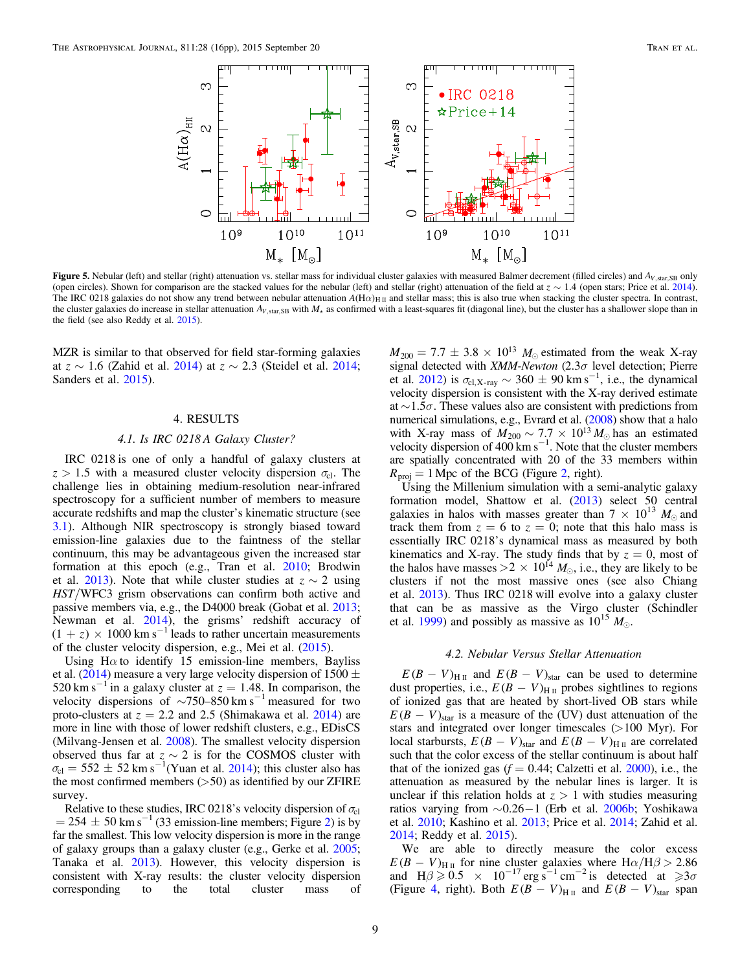<span id="page-8-0"></span>

Figure 5. Nebular (left) and stellar (right) attenuation vs. stellar mass for individual cluster galaxies with measured Balmer decrement (filled circles) and  $A_{V, \text{star, SB}}$  only (open circles). Shown for comparison are the stacked values for the nebular (left) and stellar (right) attenuation of the field at  $z \sim 1.4$  (open stars; Price et al. [2014](#page-14-0)). The IRC 0218 galaxies do not show any trend between nebular attenuation  $A(H\alpha)_{H\text{II}}$  and stellar mass; this is also true when stacking the cluster spectra. In contrast, the cluster galaxies do increase in stellar attenuation  $A_{V, \text{star, SB}}$  with  $M_{\star}$  as confirmed with a least-squares fit (diagonal line), but the cluster has a shallower slope than in the field (see also Reddy et al. [2015](#page-14-0)).

MZR is similar to that observed for field star-forming galaxies at  $z \sim 1.6$  (Zahid et al. [2014](#page-15-0)) at  $z \sim 2.3$  (Steidel et al. 2014; Sanders et al. [2015](#page-14-0)).

# 4. RESULTS

## 4.1. Is IRC 0218 A Galaxy Cluster?

IRC 0218 is one of only a handful of galaxy clusters at  $z > 1.5$  with a measured cluster velocity dispersion  $\sigma_{c1}$ . The challenge lies in obtaining medium-resolution near-infrared spectroscopy for a sufficient number of members to measure accurate redshifts and map the cluster's kinematic structure (see [3.1](#page-4-0)). Although NIR spectroscopy is strongly biased toward emission-line galaxies due to the faintness of the stellar continuum, this may be advantageous given the increased star formation at this epoch (e.g., Tran et al. [2010;](#page-15-0) Brodwin et al. [2013](#page-14-0)). Note that while cluster studies at  $z \sim 2$  using HST/WFC3 grism observations can confirm both active and passive members via, e.g., the D4000 break (Gobat et al. [2013](#page-14-0); Newman et al. [2014](#page-14-0)), the grisms' redshift accuracy of  $(1 + z) \times 1000$  km s<sup>-1</sup> leads to rather uncertain measurements of the cluster velocity dispersion, e.g., Mei et al. ([2015](#page-14-0)).

Using H $\alpha$  to identify 15 emission-line members, Bayliss et al. ([2014](#page-14-0)) measure a very large velocity dispersion of 1500  $\pm$ 520 km s<sup> $-1$ </sup> in a galaxy cluster at  $z = 1.48$ . In comparison, the velocity dispersions of  $\sim$ 750–850 km s<sup>-1</sup> measured for two proto-clusters at  $z = 2.2$  and 2.5 (Shimakawa et al. [2014](#page-15-0)) are more in line with those of lower redshift clusters, e.g., EDisCS (Milvang-Jensen et al. [2008](#page-14-0)). The smallest velocity dispersion observed thus far at  $z \sim 2$  is for the COSMOS cluster with  $\sigma_{\text{cl}} = 552 \pm 52 \text{ km s}^{-1}$ (Yuan et al. [2014](#page-15-0)); this cluster also has the most confirmed members  $(>50)$  as identified by our ZFIRE survey.

Relative to these studies, IRC 0218's velocity dispersion of  $\sigma_{\rm cl}$  $= 254 \pm 50$  $= 254 \pm 50$  $= 254 \pm 50$  km s<sup>-1</sup> (33 emission-line members; Figure 2) is by far the smallest. This low velocity dispersion is more in the range of galaxy groups than a galaxy cluster (e.g., Gerke et al. [2005](#page-14-0); Tanaka et al. [2013](#page-15-0)). However, this velocity dispersion is consistent with X-ray results: the cluster velocity dispersion corresponding to the total cluster mass of

 $M_{200} = 7.7 \pm 3.8 \times 10^{13}$   $M_{\odot}$  estimated from the weak X-ray signal detected with XMM-Newton (2.3*s* level detection; Pierre et al. [2012](#page-14-0)) is  $\sigma_{\text{cl,X-ray}} \sim 360 \pm 90 \text{ km s}^{-1}$ , i.e., the dynamical velocity dispersion is consistent with the X-ray derived estimate at  $\sim$  1.5 $\sigma$ . These values also are consistent with predictions from numerical simulations, e.g., Evrard et al. ([2008](#page-14-0)) show that a halo with X-ray mass of  $M_{200} \sim 7.7 \times 10^{13} M_{\odot}$  has an estimated velocity dispersion of  $400 \text{ km s}^{-1}$ . Note that the cluster members are spatially concentrated with 20 of the 33 members within  $R_{\text{proj}} = 1$  Mpc of the BCG (Figure [2,](#page-4-0) right).

Using the Millenium simulation with a semi-analytic galaxy formation model, Shattow et al. ([2013](#page-15-0)) select 50 central galaxies in halos with masses greater than  $7 \times 10^{13}$  *M*<sub> $\odot$ </sub> and track them from  $z = 6$  to  $z = 0$ ; note that this halo mass is essentially IRC 0218's dynamical mass as measured by both kinematics and X-ray. The study finds that by  $z = 0$ , most of the halos have masses  $> 2 \times 10^{14} M_{\odot}$ , i.e., they are likely to be clusters if not the most massive ones (see also Chiang et al. [2013](#page-14-0)). Thus IRC 0218 will evolve into a galaxy cluster that can be as massive as the Virgo cluster (Schindler et al. [1999](#page-14-0)) and possibly as massive as  $10^{15} M_{\odot}$ .

#### 4.2. Nebular Versus Stellar Attenuation

 $E(B - V)_{\text{H II}}$  and  $E(B - V)_{\text{star}}$  can be used to determine dust properties, i.e.,  $E(B - V)_{\text{H II}}$  probes sightlines to regions of ionized gas that are heated by short-lived OB stars while  $E(B - V)_{\text{star}}$  is a measure of the (UV) dust attenuation of the stars and integrated over longer timescales (>100 Myr). For local starbursts,  $E(B - V)_{\text{star}}$  and  $E(B - V)_{\text{H II}}$  are correlated such that the color excess of the stellar continuum is about half that of the ionized gas  $(f = 0.44;$  Calzetti et al. [2000](#page-14-0)), i.e., the attenuation as measured by the nebular lines is larger. It is unclear if this relation holds at  $z > 1$  with studies measuring ratios varying from  $\sim 0.26 - 1$  (Erb et al. [2006b](#page-14-0); Yoshikawa et al. [2010;](#page-15-0) Kashino et al. [2013](#page-14-0); Price et al. [2014](#page-14-0); Zahid et al. [2014;](#page-15-0) Reddy et al. [2015](#page-14-0)).

We are able to directly measure the color excess  $E(B - V)_{\text{H II}}$  for nine cluster galaxies where  $\text{H}\alpha/\text{H}\beta > 2.86$ and H $\beta \ge 0.5 \times 10^{-17}$  erg s<sup>-1</sup> cm<sup>-2</sup> is detected at  $\ge 3\sigma$ (Figure [4](#page-7-0), right). Both  $E(B - V)_{\text{H II}}$  and  $E(B - V)_{\text{star}}$  span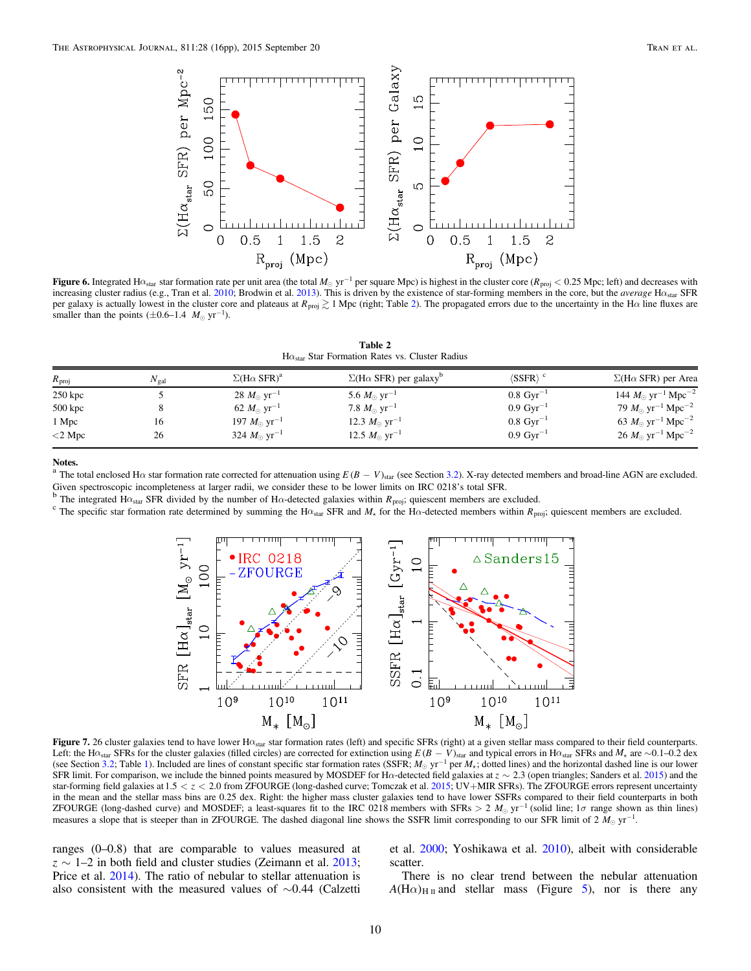<span id="page-9-0"></span>

Figure 6. Integrated H $\alpha_{\text{star}}$  star formation rate per unit area (the total  $M_{\odot}$  yr<sup>-1</sup> per square Mpc) is highest in the cluster core ( $R_{\text{proj}}$  < 0.25 Mpc; left) and decreases with increasing cluster radius (e.g., Tran et al. [2010](#page-15-0); Brodwin et al. [2013](#page-14-0)). This is driven by the existence of star-forming members in the core, but the average  $H\alpha_{\text{star}}$  SFR per galaxy is actually lowest in the cluster core and plateaus at  $R_{\text{proj}} \gtrsim 1$  Mpc (right; Table 2). The propagated errors due to the uncertainty in the H $\alpha$  line fluxes are smaller than the points  $(\pm 0.6-1.4 \ M_{\odot} \text{ yr}^{-1})$ .

H $\alpha_{\rm star}$  Star Formation Rates vs. Cluster Radius

| $R_{\text{proj}}$ | $N_{\rm gal}$ | $\Sigma$ (H $\alpha$ SFR) <sup>a</sup> | $\Sigma$ (H $\alpha$ SFR) per galaxy <sup>o</sup> | $\langle{\rm SSFR}\rangle$ $^{\rm c}$ | $\Sigma$ (H $\alpha$ SFR) per Area                 |
|-------------------|---------------|----------------------------------------|---------------------------------------------------|---------------------------------------|----------------------------------------------------|
| $250$ kpc         |               | 28 $M_{\odot}$ yr <sup>-1</sup>        | 5.6 $M_{\odot}$ yr <sup>-1</sup>                  | $0.8 \text{ Gyr}^{-1}$                | 144 $M_{\odot}$ yr <sup>-1</sup> Mpc <sup>-2</sup> |
| $500$ kpc         |               | 62 $M_{\odot}$ yr <sup>-1</sup>        | 7.8 $M_{\odot}$ yr <sup>-1</sup>                  | $0.9 \,\mathrm{Gyr}^{-1}$             | 79 $M_{\odot}$ yr <sup>-1</sup> Mpc <sup>-2</sup>  |
| 1 Mpc             | 16            | 197 $M_{\odot}$ yr <sup>-1</sup>       | 12.3 $M_{\odot}$ yr <sup>-1</sup>                 | $0.8 \text{ Gyr}^{-1}$                | 63 $M_{\odot}$ yr <sup>-1</sup> Mpc <sup>-2</sup>  |
| $<$ 2 Mpc         | 26            | 324 $M_{\odot}$ yr <sup>-1</sup>       | 12.5 $M_{\odot}$ yr <sup>-1</sup>                 | $0.9 \,\mathrm{Gyr}^{-1}$             | $26 M_{\odot} \text{ yr}^{-1} \text{ Mpc}^{-2}$    |

<sup>a</sup> The total enclosed H $\alpha$  star formation rate corrected for attenuation using  $E(B - V)_{star}$  (see Section [3.2](#page-5-0)). X-ray detected members and broad-line AGN are excluded. Given spectroscopic incompleteness at larger radii, we consider these to be lower limits on IRC 0218's total SFR.<br><sup>b</sup> The integrated H $\alpha_{star}$  SFR divided by the number of H $\alpha$ -detected galaxies within  $R_{\text{proj}}$ ; quiescen



Figure 7. 26 cluster galaxies tend to have lower H $\alpha_{\text{star}}$  star formation rates (left) and specific SFRs (right) at a given stellar mass compared to their field counterparts. Left: the H $\alpha_{\text{star}}$  SFRs for the cluster galaxies (filled circles) are corrected for extinction using *E* ( $B - V$ )<sub>star</sub> and typical errors in H $\alpha_{\text{star}}$  SFRs and *M*<sub>\*</sub> are ∼0.1–0.2 dex (see Section [3.2](#page-5-0); Table [1](#page-5-0)). Included are lines of constant specific star formation rates (SSFR;  $M_{\odot}$  yr<sup>-1</sup> per  $M_{\star}$ ; dotted lines) and the horizontal dashed line is our lower SFR limit. For comparison, we include the binned points measured by MOSDEF for H $\alpha$ -detected field galaxies at  $z \sim 2.3$  (open triangles; Sanders et al. [2015](#page-14-0)) and the star-forming field galaxies at  $1.5 < z < 2.0$  from ZFOURGE (long-dashed curve; Tomczak et al.  $2015$ ; UV+MIR SFRs). The ZFOURGE errors represent uncertainty in the mean and the stellar mass bins are 0.25 dex. Right: the higher mass cluster galaxies tend to have lower SSFRs compared to their field counterparts in both ZFOURGE (long-dashed curve) and MOSDEF; a least-squares fit to the IRC 0218 members with SFRs  $> 2 M_{\odot}$  yr<sup>-1</sup> (solid line; 1 $\sigma$  range shown as thin lines) measures a slope that is steeper than in ZFOURGE. The dashed diagonal line shows the SSFR limit corresponding to our SFR limit of 2  $M_{\odot}$  yr<sup>-1</sup>.

ranges (0–0.8) that are comparable to values measured at  $z \sim 1$ –2 in both field and cluster studies (Zeimann et al. [2013](#page-15-0); Price et al. [2014](#page-14-0)). The ratio of nebular to stellar attenuation is also consistent with the measured values of ∼0.44 (Calzetti et al. [2000](#page-14-0); Yoshikawa et al. [2010](#page-15-0)), albeit with considerable scatter.

There is no clear trend between the nebular attenuation  $A(H\alpha)_{H\text{II}}$  and stellar mass (Figure [5](#page-8-0)), nor is there any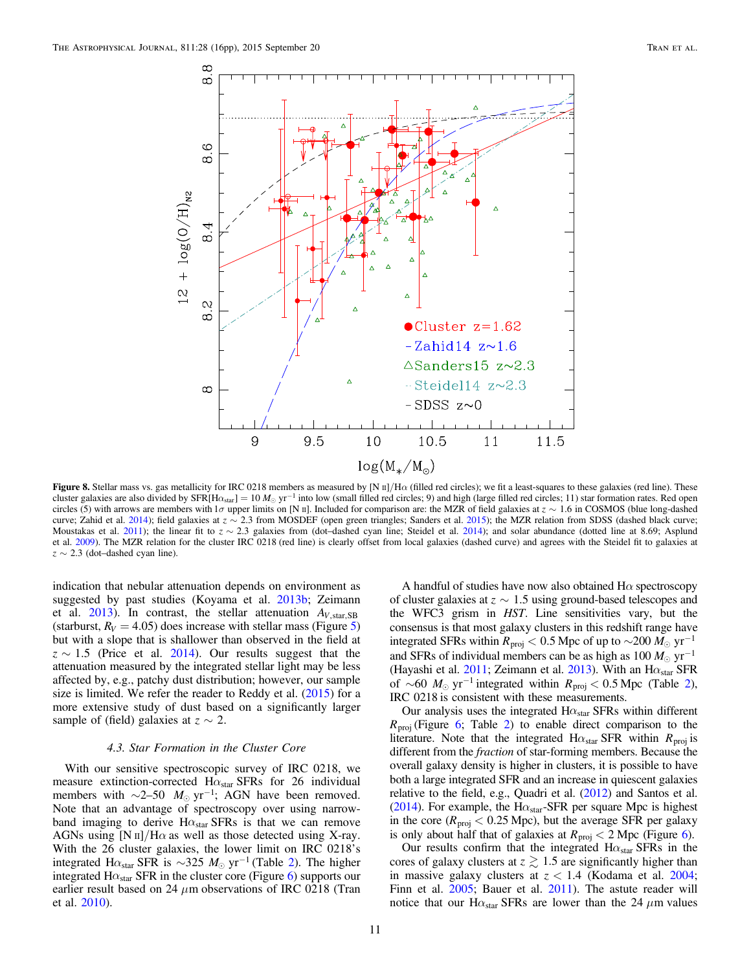<span id="page-10-0"></span>

Figure 8. Stellar mass vs. gas metallicity for IRC 0218 members as measured by [N II]/H $\alpha$  (filled red circles); we fit a least-squares to these galaxies (red line). These cluster galaxies are also divided by SFR[H $\alpha_{\text{star}}$ ] = 10  $M_{\odot}$  yr<sup>-1</sup> into low (small filled red circles; 9) and high (large filled red circles; 11) star formation rates. Red open circles (5) with arrows are members with 1 $\sigma$  upper limits on [N II]. Included for comparison are: the MZR of field galaxies at  $z \sim 1.6$  in COSMOS (blue long-dashed curve; Zahid et al. [2014](#page-15-0)); field galaxies at  $z \sim 2.3$  from MOSDEF (open green triangles; Sanders et al. [2015](#page-14-0)); the MZR relation from SDSS (dashed black curve; Moustakas et al. [2011](#page-14-0)); the linear fit to  $z \sim 2.3$  galaxies from (dot-dashed cyan line; Steidel et al. [2014](#page-15-0)); and solar abundance (dotted line at 8.69; Asplund et al. [2009](#page-14-0)). The MZR relation for the cluster IRC 0218 (red line) is clearly offset from local galaxies (dashed curve) and agrees with the Steidel fit to galaxies at  $z \sim 2.3$  (dot–dashed cyan line).

indication that nebular attenuation depends on environment as suggested by past studies (Koyama et al. [2013b;](#page-14-0) Zeimann et al. [2013](#page-15-0)). In contrast, the stellar attenuation  $A_{V, \text{star, SB}}$ (starburst,  $R_V = 4.05$  $R_V = 4.05$ ) does increase with stellar mass (Figure 5) but with a slope that is shallower than observed in the field at  $z \sim 1.5$  (Price et al. [2014](#page-14-0)). Our results suggest that the attenuation measured by the integrated stellar light may be less affected by, e.g., patchy dust distribution; however, our sample size is limited. We refer the reader to Reddy et al. ([2015](#page-14-0)) for a more extensive study of dust based on a significantly larger sample of (field) galaxies at  $z \sim 2$ .

# 4.3. Star Formation in the Cluster Core

With our sensitive spectroscopic survey of IRC 0218, we measure extinction-corrected  $H\alpha_{star}$  SFRs for 26 individual members with  $\sim$ 2–50  $M_{\odot}$  yr<sup>-1</sup>; AGN have been removed. Note that an advantage of spectroscopy over using narrowband imaging to derive  $H\alpha_{star}$  SFRs is that we can remove AGNs using  $[N \text{ II}]/H\alpha$  as well as those detected using X-ray. With the 26 cluster galaxies, the lower limit on IRC 0218's integrated Hα<sub>star</sub> SFR is ~3[2](#page-9-0)5  $M_{\odot}$  yr<sup>-1</sup> (Table 2). The higher integrated  $H\alpha_{star}$  SFR in the cluster core (Figure [6](#page-9-0)) supports our earlier result based on 24  $\mu$ m observations of IRC 0218 (Tran et al. [2010](#page-15-0)).

A handful of studies have now also obtained  $H\alpha$  spectroscopy of cluster galaxies at  $z \sim 1.5$  using ground-based telescopes and the WFC3 grism in HST. Line sensitivities vary, but the consensus is that most galaxy clusters in this redshift range have integrated SFRs within  $R_{\text{proj}}$  < 0.5 Mpc of up to ~200  $M_{\odot}$  yr<sup>-1</sup> and SFRs of individual members can be as high as  $100 M_{\odot} \text{ yr}^{-1}$ (Hayashi et al. [2011;](#page-14-0) Zeimann et al. [2013](#page-15-0)). With an  $H\alpha_{star}$  SFR of ~60  $M_{\odot}$  yr<sup>-1</sup> integrated within  $R_{\text{proj}} < 0.5$  Mpc (Table [2](#page-9-0)), IRC 0218 is consistent with these measurements.

Our analysis uses the integrated H $\alpha_{\rm star}$  SFRs within different  $R_{\text{proj}}$  (Figure [6](#page-9-0); Table [2](#page-9-0)) to enable direct comparison to the literature. Note that the integrated  $H\alpha_{star}$  SFR within  $R_{proj}$  is different from the fraction of star-forming members. Because the overall galaxy density is higher in clusters, it is possible to have both a large integrated SFR and an increase in quiescent galaxies relative to the field, e.g., Quadri et al. ([2012](#page-14-0)) and Santos et al. ([2014](#page-14-0)). For example, the H $\alpha_{\text{star}}$ -SFR per square Mpc is highest in the core ( $R_{\text{proj}} < 0.25$  Mpc), but the average SFR per galaxy is only about half that of galaxies at  $R_{\text{proj}} < 2$  Mpc (Figure [6](#page-9-0)).

Our results confirm that the integrated  $H\alpha_{star}$  SFRs in the cores of galaxy clusters at  $z \gtrsim 1.5$  are significantly higher than in massive galaxy clusters at  $z < 1.4$  (Kodama et al. [2004](#page-14-0); Finn et al. [2005](#page-14-0); Bauer et al. [2011](#page-14-0)). The astute reader will notice that our H $\alpha_{\text{star}}$  SFRs are lower than the 24  $\mu$ m values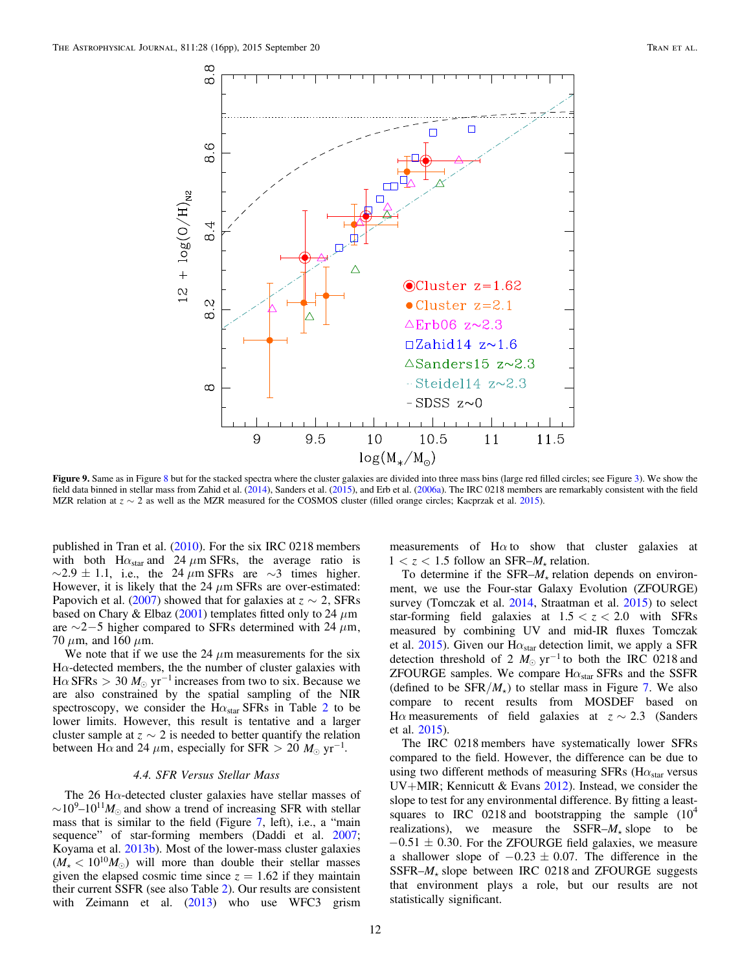<span id="page-11-0"></span>

Figure 9. Same as in Figure [8](#page-10-0) but for the stacked spectra where the cluster galaxies are divided into three mass bins (large red filled circles; see Figure [3](#page-6-0)). We show the field data binned in stellar mass from Zahid et al. ([2014](#page-15-0)), Sanders et al. ([2015](#page-14-0)), and Erb et al. ([2006a](#page-14-0)). The IRC 0218 members are remarkably consistent with the field MZR relation at  $z \sim 2$  as well as the MZR measured for the COSMOS cluster (filled orange circles; Kacprzak et al. [2015](#page-14-0)).

published in Tran et al. ([2010](#page-15-0)). For the six IRC 0218 members with both  $H\alpha_{star}$  and 24  $\mu$ m SFRs, the average ratio is  $\sim$  2.9 ± 1.1, i.e., the 24  $\mu$ m SFRs are  $\sim$ 3 times higher. However, it is likely that the 24  $\mu$ m SFRs are over-estimated: Papovich et al. ([2007](#page-14-0)) showed that for galaxies at  $z \sim 2$ , SFRs based on Chary & Elbaz ([2001](#page-14-0)) templates fitted only to 24  $\mu$ m are  $\sim$ 2–5 higher compared to SFRs determined with 24  $\mu$ m, 70  $\mu$ m, and 160  $\mu$ m.

We note that if we use the  $24 \mu m$  measurements for the six H $\alpha$ -detected members, the the number of cluster galaxies with  $H\alpha$  SFRs  $> 30$   $M_{\odot}$  yr<sup>-1</sup> increases from two to six. Because we are also constrained by the spatial sampling of the NIR spectroscopy, we consider the H $\alpha_{star}$  SFRs in Table [2](#page-9-0) to be lower limits. However, this result is tentative and a larger cluster sample at  $z \sim 2$  is needed to better quantify the relation between H $\alpha$  and 24  $\mu$ m, especially for SFR  $> 20$   $M_{\odot}$  yr<sup>-1</sup>.

# 4.4. SFR Versus Stellar Mass

The 26 H $\alpha$ -detected cluster galaxies have stellar masses of  $\sim 10^{9} - 10^{11} M_{\odot}$  and show a trend of increasing SFR with stellar mass that is similar to the field (Figure [7](#page-9-0), left), i.e., a "main sequence" of star-forming members (Daddi et al. [2007](#page-14-0); Koyama et al. [2013b](#page-14-0)). Most of the lower-mass cluster galaxies  $(M_{\star} < 10^{10} M_{\odot})$  will more than double their stellar masses given the elapsed cosmic time since  $z = 1.62$  if they maintain their current SSFR (see also Table [2](#page-9-0)). Our results are consistent with Zeimann et al. ([2013](#page-15-0)) who use WFC3 grism measurements of  $H\alpha$  to show that cluster galaxies at  $1 < z < 1.5$  follow an SFR– $M_{\star}$  relation.

To determine if the SFR– $M_{\star}$  relation depends on environment, we use the Four-star Galaxy Evolution (ZFOURGE) survey (Tomczak et al. [2014](#page-15-0), Straatman et al. [2015](#page-15-0)) to select star-forming field galaxies at  $1.5 < z < 2.0$  with SFRs measured by combining UV and mid-IR fluxes Tomczak et al.  $2015$ ). Given our H $\alpha_{\rm star}$  detection limit, we apply a SFR detection threshold of 2  $M_{\odot}$  yr<sup>-1</sup> to both the IRC 0218 and ZFOURGE samples. We compare  $H\alpha_{star}$  SFRs and the SSFR (defined to be  $SFR/M_{\star}$ ) to stellar mass in Figure [7](#page-9-0). We also compare to recent results from MOSDEF based on H $\alpha$  measurements of field galaxies at  $z \sim 2.3$  (Sanders et al. [2015](#page-14-0)).

The IRC 0218 members have systematically lower SFRs compared to the field. However, the difference can be due to using two different methods of measuring SFRs ( $\rm\,H\alpha_{star}$  versus UV+MIR; Kennicutt  $& Evans$  [2012](#page-14-0)). Instead, we consider the slope to test for any environmental difference. By fitting a leastsquares to IRC 0218 and bootstrapping the sample  $(10^4$ realizations), we measure the SSFR– $M_{\star}$  slope to be  $-0.51 \pm 0.30$ . For the ZFOURGE field galaxies, we measure a shallower slope of  $-0.23 \pm 0.07$ . The difference in the SSFR $-M_*$  slope between IRC 0218 and ZFOURGE suggests that environment plays a role, but our results are not statistically significant.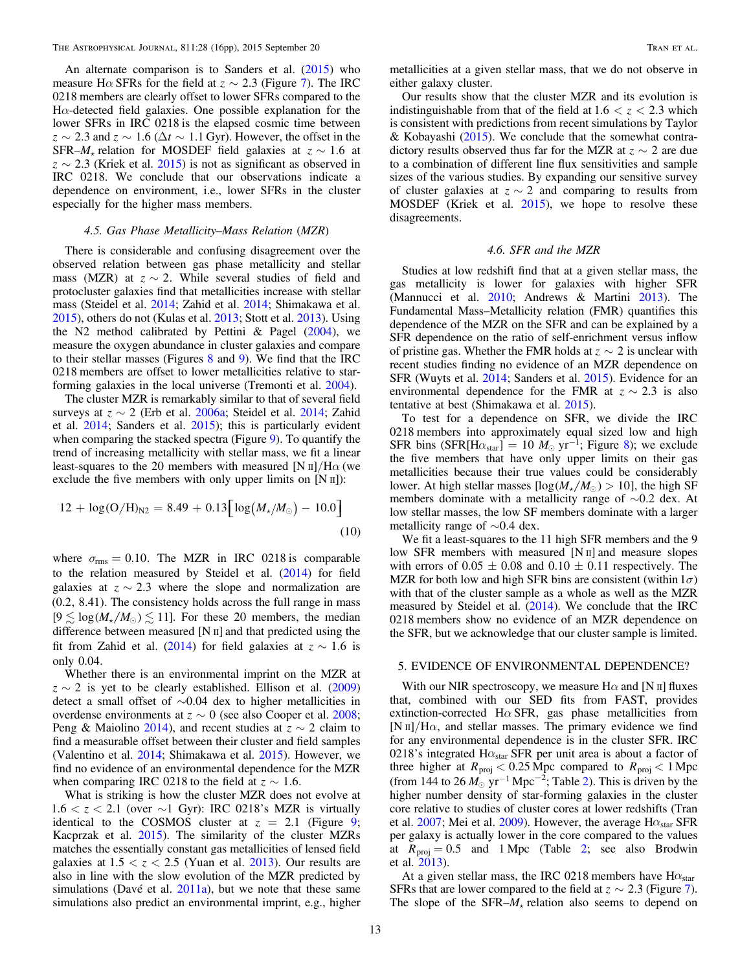An alternate comparison is to Sanders et al.  $(2015)$  $(2015)$  $(2015)$  who measure H $\alpha$  SFRs for the field at  $z \sim 2.3$  (Figure [7](#page-9-0)). The IRC 0218 members are clearly offset to lower SFRs compared to the  $H\alpha$ -detected field galaxies. One possible explanation for the lower SFRs in IRC 0218 is the elapsed cosmic time between  $z \sim 2.3$  and  $z \sim 1.6$  ( $\Delta t \sim 1.1$  Gyr). However, the offset in the SFR– $M_{\star}$  relation for MOSDEF field galaxies at  $z \sim 1.6$  at  $z \sim 2.3$  (Kriek et al. [2015](#page-14-0)) is not as significant as observed in IRC 0218. We conclude that our observations indicate a dependence on environment, i.e., lower SFRs in the cluster especially for the higher mass members.

#### 4.5. Gas Phase Metallicity–Mass Relation (MZR)

There is considerable and confusing disagreement over the observed relation between gas phase metallicity and stellar mass (MZR) at  $z \sim 2$ . While several studies of field and protocluster galaxies find that metallicities increase with stellar mass (Steidel et al. [2014](#page-15-0); Zahid et al. [2014;](#page-15-0) Shimakawa et al. [2015](#page-15-0)), others do not (Kulas et al. [2013;](#page-14-0) Stott et al. [2013](#page-15-0)). Using the N2 method calibrated by Pettini  $\&$  Pagel ([2004](#page-14-0)), we measure the oxygen abundance in cluster galaxies and compare to their stellar masses (Figures [8](#page-10-0) and [9](#page-11-0)). We find that the IRC 0218 members are offset to lower metallicities relative to starforming galaxies in the local universe (Tremonti et al. [2004](#page-15-0)).

The cluster MZR is remarkably similar to that of several field surveys at  $z \sim 2$  (Erb et al. [2006a;](#page-14-0) Steidel et al. [2014;](#page-15-0) Zahid et al. [2014](#page-15-0); Sanders et al. [2015](#page-14-0)); this is particularly evident when comparing the stacked spectra (Figure [9](#page-11-0)). To quantify the trend of increasing metallicity with stellar mass, we fit a linear least-squares to the 20 members with measured [N  $\text{II}/\text{H}\alpha$  (we exclude the five members with only upper limits on [N II]):

$$
12 + \log(O/H)_{N2} = 8.49 + 0.13 \Big[ \log(M_{\star}/M_{\odot}) - 10.0 \Big]
$$
\n(10)

where  $\sigma_{\rm rms} = 0.10$ . The MZR in IRC 0218 is comparable to the relation measured by Steidel et al. ([2014](#page-15-0)) for field galaxies at  $z \sim 2.3$  where the slope and normalization are (0.2, 8.41). The consistency holds across the full range in mass  $[9 \leq log(M_{\star}/M_{\odot}) \leq 11]$ . For these 20 members, the median difference between measured [N II] and that predicted using the fit from Zahid et al. ([2014](#page-15-0)) for field galaxies at  $z \sim 1.6$  is only 0.04.

Whether there is an environmental imprint on the MZR at  $z \sim 2$  is yet to be clearly established. Ellison et al. ([2009](#page-14-0)) detect a small offset of ∼0.04 dex to higher metallicities in overdense environments at  $z \sim 0$  (see also Cooper et al. [2008](#page-14-0); Peng & Maiolino [2014](#page-14-0)), and recent studies at  $z \sim 2$  claim to find a measurable offset between their cluster and field samples (Valentino et al. [2014;](#page-15-0) Shimakawa et al. [2015](#page-15-0)). However, we find no evidence of an environmental dependence for the MZR when comparing IRC 0218 to the field at  $z \sim 1.6$ .

What is striking is how the cluster MZR does not evolve at  $1.6 < z < 2.1$  (over ∼1 Gyr): IRC 0218's MZR is virtually identical to the COSMOS cluster at  $z = 2.1$  (Figure [9](#page-11-0); Kacprzak et al. [2015](#page-14-0)). The similarity of the cluster MZRs matches the essentially constant gas metallicities of lensed field galaxies at  $1.5 < z < 2.5$  (Yuan et al. [2013](#page-15-0)). Our results are also in line with the slow evolution of the MZR predicted by simulations (Davé et al. [2011a](#page-14-0)), but we note that these same simulations also predict an environmental imprint, e.g., higher metallicities at a given stellar mass, that we do not observe in either galaxy cluster.

Our results show that the cluster MZR and its evolution is indistinguishable from that of the field at  $1.6 < z < 2.3$  which is consistent with predictions from recent simulations by Taylor & Kobayashi ([2015](#page-15-0)). We conclude that the somewhat contradictory results observed thus far for the MZR at  $z \sim 2$  are due to a combination of different line flux sensitivities and sample sizes of the various studies. By expanding our sensitive survey of cluster galaxies at  $z \sim 2$  and comparing to results from MOSDEF (Kriek et al. [2015](#page-14-0)), we hope to resolve these disagreements.

## 4.6. SFR and the MZR

Studies at low redshift find that at a given stellar mass, the gas metallicity is lower for galaxies with higher SFR (Mannucci et al. [2010;](#page-14-0) Andrews & Martini [2013](#page-14-0)). The Fundamental Mass–Metallicity relation (FMR) quantifies this dependence of the MZR on the SFR and can be explained by a SFR dependence on the ratio of self-enrichment versus inflow of pristine gas. Whether the FMR holds at  $z \sim 2$  is unclear with recent studies finding no evidence of an MZR dependence on SFR (Wuyts et al. [2014;](#page-15-0) Sanders et al. [2015](#page-14-0)). Evidence for an environmental dependence for the FMR at  $z \sim 2.3$  is also tentative at best (Shimakawa et al. [2015](#page-15-0)).

To test for a dependence on SFR, we divide the IRC 0218 members into approximately equal sized low and high SFR bins (SFR[H $\alpha_{\text{star}}$ ] = 10  $M_{\odot}$  yr<sup>-1</sup>; Figure [8](#page-10-0)); we exclude the five members that have only upper limits on their gas metallicities because their true values could be considerably lower. At high stellar masses  $[\log (M_{\star}/M_{\odot}) > 10]$ , the high SF members dominate with a metallicity range of ∼0.2 dex. At low stellar masses, the low SF members dominate with a larger metallicity range of ∼0.4 dex.

We fit a least-squares to the 11 high SFR members and the 9 low SFR members with measured  $[N \pi]$  and measure slopes with errors of  $0.05 \pm 0.08$  and  $0.10 \pm 0.11$  respectively. The MZR for both low and high SFR bins are consistent (within  $1\sigma$ ) with that of the cluster sample as a whole as well as the MZR measured by Steidel et al. ([2014](#page-15-0)). We conclude that the IRC 0218 members show no evidence of an MZR dependence on the SFR, but we acknowledge that our cluster sample is limited.

#### 5. EVIDENCE OF ENVIRONMENTAL DEPENDENCE?

With our NIR spectroscopy, we measure  $H\alpha$  and [N II] fluxes that, combined with our SED fits from FAST, provides extinction-corrected H $\alpha$  SFR, gas phase metallicities from [N  $\text{II}/\text{H}\alpha$ , and stellar masses. The primary evidence we find for any environmental dependence is in the cluster SFR. IRC 0218's integrated H $\alpha_{\text{star}}$  SFR per unit area is about a factor of three higher at  $R_{\text{proj}} < 0.25 \text{ Mpc}$  compared to  $R_{\text{proj}} < 1 \text{ Mpc}$ (from 144 to [2](#page-9-0)6  $M_{\odot}$  yr<sup>-1</sup> Mpc<sup>-2</sup>; Table 2). This is driven by the higher number density of star-forming galaxies in the cluster core relative to studies of cluster cores at lower redshifts (Tran et al.  $2007$ ; Mei et al.  $2009$ ). However, the average H $\alpha_{\rm star}$  SFR per galaxy is actually lower in the core compared to the values at  $R_{\text{proj}} = 0.5$  and 1 Mpc (Table [2;](#page-9-0) see also Brodwin et al. [2013](#page-14-0)).

At a given stellar mass, the IRC 0218 members have  $H\alpha_{star}$ SFRs that are lower compared to the field at  $z \sim 2.3$  (Figure [7](#page-9-0)). The slope of the SFR– $M_{\star}$  relation also seems to depend on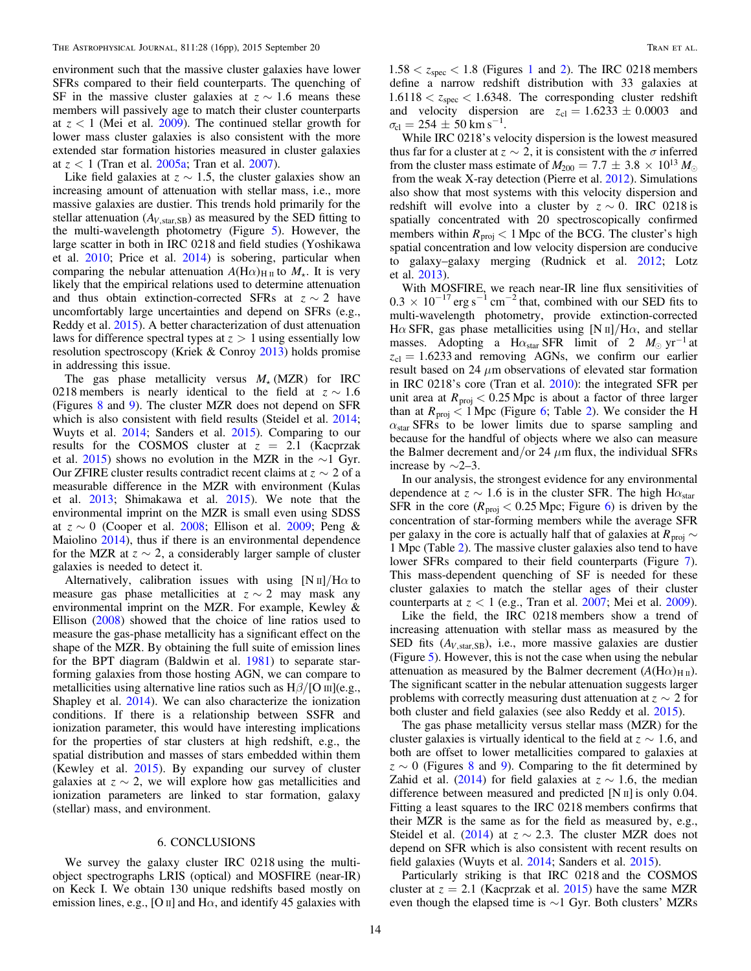environment such that the massive cluster galaxies have lower SFRs compared to their field counterparts. The quenching of SF in the massive cluster galaxies at  $z \sim 1.6$  means these members will passively age to match their cluster counterparts at  $z < 1$  (Mei et al. [2009](#page-14-0)). The continued stellar growth for lower mass cluster galaxies is also consistent with the more extended star formation histories measured in cluster galaxies at *z* < 1 (Tran et al. [2005a;](#page-15-0) Tran et al. [2007](#page-15-0)).

Like field galaxies at  $z \sim 1.5$ , the cluster galaxies show an increasing amount of attenuation with stellar mass, i.e., more massive galaxies are dustier. This trends hold primarily for the stellar attenuation  $(A_{V, \text{star,SB}})$  as measured by the SED fitting to the multi-wavelength photometry (Figure [5](#page-8-0)). However, the large scatter in both in IRC 0218 and field studies (Yoshikawa et al. [2010](#page-15-0); Price et al. [2014](#page-14-0)) is sobering, particular when comparing the nebular attenuation  $A(H\alpha)_{H \text{II}}$  to  $M_{\star}$ . It is very likely that the empirical relations used to determine attenuation and thus obtain extinction-corrected SFRs at  $z \sim 2$  have uncomfortably large uncertainties and depend on SFRs (e.g., Reddy et al. [2015](#page-14-0)). A better characterization of dust attenuation laws for difference spectral types at  $z > 1$  using essentially low resolution spectroscopy (Kriek & Conroy [2013](#page-14-0)) holds promise in addressing this issue.

The gas phase metallicity versus  $M_{\star}$  (MZR) for IRC 0218 members is nearly identical to the field at  $z \sim 1.6$ (Figures [8](#page-10-0) and [9](#page-11-0)). The cluster MZR does not depend on SFR which is also consistent with field results (Steidel et al. [2014](#page-15-0); Wuyts et al. [2014](#page-15-0); Sanders et al. [2015](#page-14-0)). Comparing to our results for the COSMOS cluster at  $z = 2.1$  (Kacprzak et al. [2015](#page-14-0)) shows no evolution in the MZR in the ∼1 Gyr. Our ZFIRE cluster results contradict recent claims at  $z \sim 2$  of a measurable difference in the MZR with environment (Kulas et al. [2013;](#page-14-0) Shimakawa et al. [2015](#page-15-0)). We note that the environmental imprint on the MZR is small even using SDSS at  $z \sim 0$  (Cooper et al. [2008](#page-14-0); Ellison et al. [2009;](#page-14-0) Peng & Maiolino [2014](#page-14-0)), thus if there is an environmental dependence for the MZR at  $z \sim 2$ , a considerably larger sample of cluster galaxies is needed to detect it.

Alternatively, calibration issues with using  $[N \text{ II}]/H\alpha$  to measure gas phase metallicities at  $z \sim 2$  may mask any environmental imprint on the MZR. For example, Kewley & Ellison ([2008](#page-14-0)) showed that the choice of line ratios used to measure the gas-phase metallicity has a significant effect on the shape of the MZR. By obtaining the full suite of emission lines for the BPT diagram (Baldwin et al. [1981](#page-14-0)) to separate starforming galaxies from those hosting AGN, we can compare to metallicities using alternative line ratios such as  $H\beta/[O \text{ m}](e.g.,$ Shapley et al. [2014](#page-15-0)). We can also characterize the ionization conditions. If there is a relationship between SSFR and ionization parameter, this would have interesting implications for the properties of star clusters at high redshift, e.g., the spatial distribution and masses of stars embedded within them (Kewley et al. [2015](#page-14-0)). By expanding our survey of cluster galaxies at  $z \sim 2$ , we will explore how gas metallicities and ionization parameters are linked to star formation, galaxy (stellar) mass, and environment.

## 6. CONCLUSIONS

We survey the galaxy cluster IRC 0218 using the multiobject spectrographs LRIS (optical) and MOSFIRE (near-IR) on Keck I. We obtain 130 unique redshifts based mostly on emission lines, e.g., [O  $\scriptstyle\rm II$ ] and H $\alpha$ , and identify 45 galaxies with  $1.58 < z<sub>spec</sub> < 1.8$  $1.58 < z<sub>spec</sub> < 1.8$  (Figures 1 and [2](#page-4-0)). The IRC 0218 members define a narrow redshift distribution with 33 galaxies at  $1.6118 < z<sub>spec</sub> < 1.6348$ . The corresponding cluster redshift and velocity dispersion are  $z_{cl} = 1.6233 \pm 0.0003$  and  $\sigma_{\rm cl} = 254 \pm 50 \,\rm km\,s^{-1}.$ 

While IRC 0218's velocity dispersion is the lowest measured thus far for a cluster at  $z \sim 2$ , it is consistent with the  $\sigma$  inferred from the cluster mass estimate of  $M_{200} = 7.7 \pm 3.8 \times 10^{13} M_{\odot}$ from the weak X-ray detection (Pierre et al. [2012](#page-14-0)). Simulations also show that most systems with this velocity dispersion and redshift will evolve into a cluster by  $z \sim 0$ . IRC 0218 is spatially concentrated with 20 spectroscopically confirmed members within  $R_{\text{proj}} < 1$  Mpc of the BCG. The cluster's high spatial concentration and low velocity dispersion are conducive to galaxy–galaxy merging (Rudnick et al. [2012;](#page-14-0) Lotz et al. [2013](#page-14-0)).

With MOSFIRE, we reach near-IR line flux sensitivities of  $0.3 \times 10^{-17}$  erg s<sup>-1</sup> cm<sup>-2</sup> that, combined with our SED fits to multi-wavelength photometry, provide extinction-corrected H $\alpha$  SFR, gas phase metallicities using [N  $\text{II}/\text{H}\alpha$ , and stellar masses. Adopting a H $\alpha_{\text{star}}$  SFR limit of 2  $M_{\odot}$  yr<sup>-1</sup> at  $z_{\text{cl}} = 1.6233$  and removing AGNs, we confirm our earlier result based on 24  $\mu$ m observations of elevated star formation in IRC 0218's core (Tran et al. [2010](#page-15-0)): the integrated SFR per unit area at  $R_{\text{proj}} < 0.25$  Mpc is about a factor of three larger than at  $R_{\text{proj}} < 1$  Mpc (Figure [6;](#page-9-0) Table [2](#page-9-0)). We consider the H  $\alpha_{\text{star}}$  SFRs to be lower limits due to sparse sampling and because for the handful of objects where we also can measure the Balmer decrement and/or 24  $\mu$ m flux, the individual SFRs increase by ∼2–3.

In our analysis, the strongest evidence for any environmental dependence at  $z \sim 1.6$  is in the cluster SFR. The high H $\alpha_{\text{star}}$ SFR in the core ( $R_{\text{proj}}$  < 0.25 Mpc; Figure [6](#page-9-0)) is driven by the concentration of star-forming members while the average SFR per galaxy in the core is actually half that of galaxies at  $R_{\text{proj}} \sim$ 1 Mpc (Table [2](#page-9-0)). The massive cluster galaxies also tend to have lower SFRs compared to their field counterparts (Figure [7](#page-9-0)). This mass-dependent quenching of SF is needed for these cluster galaxies to match the stellar ages of their cluster counterparts at *z* < 1 (e.g., Tran et al. [2007;](#page-15-0) Mei et al. [2009](#page-14-0)).

Like the field, the IRC 0218 members show a trend of increasing attenuation with stellar mass as measured by the SED fits  $(A<sub>V.star,SB</sub>)$ , i.e., more massive galaxies are dustier (Figure [5](#page-8-0)). However, this is not the case when using the nebular attenuation as measured by the Balmer decrement  $(A(H\alpha)_{H\text{II}})$ . The significant scatter in the nebular attenuation suggests larger problems with correctly measuring dust attenuation at  $z \sim 2$  for both cluster and field galaxies (see also Reddy et al. [2015](#page-14-0)).

The gas phase metallicity versus stellar mass (MZR) for the cluster galaxies is virtually identical to the field at  $z \sim 1.6$ , and both are offset to lower metallicities compared to galaxies at  $z \sim 0$  (Figures [8](#page-10-0) and [9](#page-11-0)). Comparing to the fit determined by Zahid et al. ([2014](#page-15-0)) for field galaxies at  $z \sim 1.6$ , the median difference between measured and predicted  $[N \pi]$  is only 0.04. Fitting a least squares to the IRC 0218 members confirms that their MZR is the same as for the field as measured by, e.g., Steidel et al. ([2014](#page-15-0)) at  $z \sim 2.3$ . The cluster MZR does not depend on SFR which is also consistent with recent results on field galaxies (Wuyts et al. [2014;](#page-15-0) Sanders et al. [2015](#page-14-0)).

Particularly striking is that IRC 0218 and the COSMOS cluster at  $z = 2.1$  (Kacprzak et al. [2015](#page-14-0)) have the same MZR even though the elapsed time is ∼1 Gyr. Both clusters' MZRs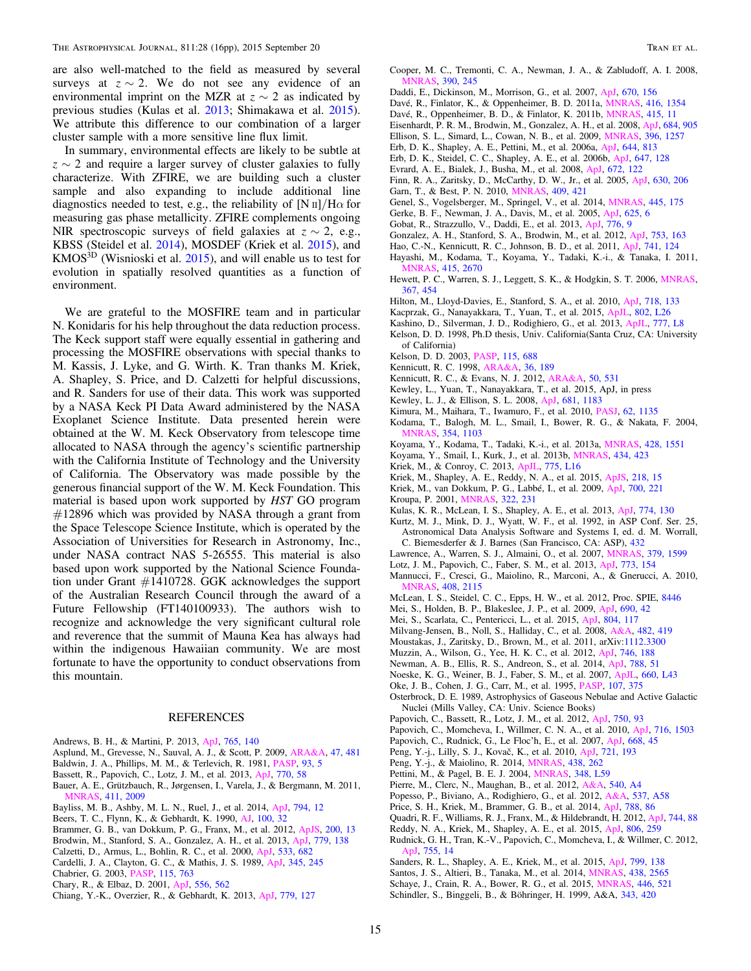<span id="page-14-0"></span>are also well-matched to the field as measured by several surveys at  $z \sim 2$ . We do not see any evidence of an environmental imprint on the MZR at  $z \sim 2$  as indicated by previous studies (Kulas et al. 2013; Shimakawa et al. [2015](#page-15-0)). We attribute this difference to our combination of a larger cluster sample with a more sensitive line flux limit.

In summary, environmental effects are likely to be subtle at  $z \sim 2$  and require a larger survey of cluster galaxies to fully characterize. With ZFIRE, we are building such a cluster sample and also expanding to include additional line diagnostics needed to test, e.g., the reliability of  $[N \text{ II}]/H\alpha$  for measuring gas phase metallicity. ZFIRE complements ongoing NIR spectroscopic surveys of field galaxies at  $z \sim 2$ , e.g., KBSS (Steidel et al. [2014](#page-15-0)), MOSDEF (Kriek et al. 2015), and  $KMOS<sup>3D</sup>$  (Wisnioski et al. [2015](#page-15-0)), and will enable us to test for evolution in spatially resolved quantities as a function of environment.

We are grateful to the MOSFIRE team and in particular N. Konidaris for his help throughout the data reduction process. The Keck support staff were equally essential in gathering and processing the MOSFIRE observations with special thanks to M. Kassis, J. Lyke, and G. Wirth. K. Tran thanks M. Kriek, A. Shapley, S. Price, and D. Calzetti for helpful discussions, and R. Sanders for use of their data. This work was supported by a NASA Keck PI Data Award administered by the NASA Exoplanet Science Institute. Data presented herein were obtained at the W. M. Keck Observatory from telescope time allocated to NASA through the agency's scientific partnership with the California Institute of Technology and the University of California. The Observatory was made possible by the generous financial support of the W. M. Keck Foundation. This material is based upon work supported by HST GO program  $\#12896$  which was provided by NASA through a grant from the Space Telescope Science Institute, which is operated by the Association of Universities for Research in Astronomy, Inc., under NASA contract NAS 5-26555. This material is also based upon work supported by the National Science Foundation under Grant #1410728. GGK acknowledges the support of the Australian Research Council through the award of a Future Fellowship (FT140100933). The authors wish to recognize and acknowledge the very significant cultural role and reverence that the summit of Mauna Kea has always had within the indigenous Hawaiian community. We are most fortunate to have the opportunity to conduct observations from this mountain.

#### REFERENCES

- Andrews, B. H., & Martini, P. 2013, [ApJ,](http://dx.doi.org/10.1088/0004-637X/765/2/140) [765, 140](http://adsabs.harvard.edu/abs/2013ApJ...765..140A)
- Asplund, M., Grevesse, N., Sauval, A. J., & Scott, P. 2009, [ARA&A](http://dx.doi.org/10.1146/annurev.astro.46.060407.145222), [47, 481](http://adsabs.harvard.edu/abs/2009ARA&A..47..481A)
- Baldwin, J. A., Phillips, M. M., & Terlevich, R. 1981, [PASP,](http://dx.doi.org/10.1086/130766) [93, 5](http://adsabs.harvard.edu/abs/1981PASP...93....5B)
- Bassett, R., Papovich, C., Lotz, J. M., et al. 2013, [ApJ,](http://dx.doi.org/10.1088/0004-637X/770/1/58) [770, 58](http://adsabs.harvard.edu/abs/2013ApJ...770...58B)
- Bauer, A. E., Grützbauch, R., Jørgensen, I., Varela, J., & Bergmann, M. 2011, [MNRAS](http://dx.doi.org/10.1111/j.1365-2966.2010.17828.x), [411, 2009](http://adsabs.harvard.edu/abs/2011MNRAS.411.2009B)
- Bayliss, M. B., Ashby, M. L. N., Ruel, J., et al. 2014, [ApJ,](http://dx.doi.org/10.1088/0004-637X/794/1/12) [794, 12](http://adsabs.harvard.edu/abs/2014ApJ...794...12B)
- Beers, T. C., Flynn, K., & Gebhardt, K. 1990, [AJ](http://dx.doi.org/10.1086/115487), [100, 32](http://adsabs.harvard.edu/abs/1990AJ....100...32B)
- Brammer, G. B., van Dokkum, P. G., Franx, M., et al. 2012, [ApJS,](http://dx.doi.org/10.1088/0067-0049/200/2/13) [200, 13](http://adsabs.harvard.edu/abs/2012ApJS..200...13B)
- Brodwin, M., Stanford, S. A., Gonzalez, A. H., et al. 2013, [ApJ](http://dx.doi.org/10.1088/0004-637X/779/2/138), [779, 138](http://adsabs.harvard.edu/abs/2013ApJ...779..138B)
- Calzetti, D., Armus, L., Bohlin, R. C., et al. 2000, [ApJ](http://dx.doi.org/10.1086/308692), [533, 682](http://adsabs.harvard.edu/abs/2000ApJ...533..682C)
- Cardelli, J. A., Clayton, G. C., & Mathis, J. S. 1989, [ApJ,](http://dx.doi.org/10.1086/167900) [345, 245](http://adsabs.harvard.edu/abs/1989ApJ...345..245C)
- Chabrier, G. 2003, [PASP](http://dx.doi.org/10.1086/376392), [115, 763](http://adsabs.harvard.edu/abs/2003PASP..115..763C)
- Chary, R., & Elbaz, D. 2001, [ApJ](http://dx.doi.org/10.1086/321609), [556, 562](http://adsabs.harvard.edu/abs/2001ApJ...556..562C)
- Chiang, Y.-K., Overzier, R., & Gebhardt, K. 2013, [ApJ,](http://dx.doi.org/10.1088/0004-637X/779/2/127) [779, 127](http://adsabs.harvard.edu/abs/2013ApJ...779..127C)
- Cooper, M. C., Tremonti, C. A., Newman, J. A., & Zabludoff, A. I. 2008, [MNRAS](http://dx.doi.org/10.1111/j.1365-2966.2008.13714.x), [390, 245](http://adsabs.harvard.edu/abs/2008MNRAS.390..245C)
- Daddi, E., Dickinson, M., Morrison, G., et al. 2007, [ApJ,](http://dx.doi.org/10.1086/521818) [670, 156](http://adsabs.harvard.edu/abs/2007ApJ...670..156D)
- Davé, R., Finlator, K., & Oppenheimer, B. D. 2011a, [MNRAS](http://dx.doi.org/10.1111/j.1365-2966.2011.19132.x), [416, 1354](http://adsabs.harvard.edu/abs/2011MNRAS.416.1354D)
- Davé, R., Oppenheimer, B. D., & Finlator, K. 2011b, [MNRAS,](http://dx.doi.org/10.1111/j.1365-2966.2011.18680.x) [415, 11](http://adsabs.harvard.edu/abs/2011MNRAS.415...11D)
- Eisenhardt, P. R. M., Brodwin, M., Gonzalez, A. H., et al. 2008, [ApJ](http://dx.doi.org/10.1086/590105), [684, 905](http://adsabs.harvard.edu/abs/2008ApJ...684..905E)
- Ellison, S. L., Simard, L., Cowan, N. B., et al. 2009, [MNRAS](http://dx.doi.org/10.1111/j.1365-2966.2009.14817.x), [396, 1257](http://adsabs.harvard.edu/abs/2009MNRAS.396.1257E)
- Erb, D. K., Shapley, A. E., Pettini, M., et al. 2006a, [ApJ,](http://dx.doi.org/10.1086/503623) [644, 813](http://adsabs.harvard.edu/abs/2006ApJ...644..813E) Erb, D. K., Steidel, C. C., Shapley, A. E., et al. 2006b, [ApJ](http://dx.doi.org/10.1086/505341), [647, 128](http://adsabs.harvard.edu/abs/2006ApJ...647..128E)
- 
- Evrard, A. E., Bialek, J., Busha, M., et al. 2008, [ApJ,](http://dx.doi.org/10.1086/521616) [672, 122](http://adsabs.harvard.edu/abs/2008ApJ...672..122E)
- Finn, R. A., Zaritsky, D., McCarthy, D. W., Jr., et al. 2005, [ApJ](http://dx.doi.org/10.1086/431642), [630, 206](http://adsabs.harvard.edu/abs/2005ApJ...630..206F) Garn, T., & Best, P. N. 2010, [MNRAS](http://dx.doi.org/10.1111/j.1365-2966.2010.17321.x), [409, 421](http://adsabs.harvard.edu/abs/2010MNRAS.409..421G)
- Genel, S., Vogelsberger, M., Springel, V., et al. 2014, [MNRAS](http://dx.doi.org/10.1093/mnras/stu1654), [445, 175](http://adsabs.harvard.edu/abs/2014MNRAS.445..175G)
- Gerke, B. F., Newman, J. A., Davis, M., et al. 2005, [ApJ,](http://dx.doi.org/10.1086/429579) [625, 6](http://adsabs.harvard.edu/abs/2005ApJ...625....6G)
- Gobat, R., Strazzullo, V., Daddi, E., et al. 2013, [ApJ](http://dx.doi.org/10.1088/0004-637X/776/1/9), [776, 9](http://adsabs.harvard.edu/abs/2013ApJ...776....9G)
- Gonzalez, A. H., Stanford, S. A., Brodwin, M., et al. 2012, [ApJ](http://dx.doi.org/10.1088/0004-637X/753/2/163), [753, 163](http://adsabs.harvard.edu/abs/2012ApJ...753..163G)
- Hao, C.-N., Kennicutt, R. C., Johnson, B. D., et al. 2011, [ApJ,](http://dx.doi.org/10.1088/0004-637X/741/2/124) [741, 124](http://adsabs.harvard.edu/abs/2011ApJ...741..124H)
- Hayashi, M., Kodama, T., Koyama, Y., Tadaki, K.-i., & Tanaka, I. 2011,
- [MNRAS](http://dx.doi.org/10.1111/j.1365-2966.2011.18892.x), [415, 2670](http://adsabs.harvard.edu/abs/2011MNRAS.415.2670H) Hewett, P. C., Warren, S. J., Leggett, S. K., & Hodgkin, S. T. 2006, [MNRAS](http://dx.doi.org/10.1111/j.1365-2966.2005.09969.x)[,](http://adsabs.harvard.edu/abs/2006MNRAS.367..454H) [367, 454](http://adsabs.harvard.edu/abs/2006MNRAS.367..454H)
- Hilton, M., Lloyd-Davies, E., Stanford, S. A., et al. 2010, [ApJ](http://dx.doi.org/10.1088/0004-637X/718/1/133), [718, 133](http://adsabs.harvard.edu/abs/2010ApJ...718..133H)
- Kacprzak, G., Nanayakkara, T., Yuan, T., et al. 2015, [ApJL](http://dx.doi.org/10.1088/2041-8205/802/2/L26), [802, L26](http://adsabs.harvard.edu/abs/2015ApJ...802L..26K)
- Kashino, D., Silverman, J. D., Rodighiero, G., et al. 2013, [ApJL,](http://dx.doi.org/10.1088/2041-8205/777/1/L8) [777, L8](http://adsabs.harvard.edu/abs/2013ApJ...777L...8K)
- Kelson, D. D. 1998, Ph.D thesis, Univ. California(Santa Cruz, CA: University of California)
- Kelson, D. D. 2003, [PASP](http://dx.doi.org/10.1086/375502), [115, 688](http://adsabs.harvard.edu/abs/2003PASP..115..688K)
- Kennicutt, R. C. 1998, [ARA&A,](http://dx.doi.org/10.1146/annurev.astro.36.1.189) [36, 189](http://adsabs.harvard.edu/abs/1998ARA&A..36..189K)
- Kennicutt, R. C., & Evans, N. J. 2012, [ARA&A,](http://dx.doi.org/10.1146/annurev-astro-081811-125610) [50, 531](http://adsabs.harvard.edu/abs/2012ARA&A..50..531K)
- Kewley, L., Yuan, T., Nanayakkara, T., et al. 2015, ApJ, in press
- Kewley, L. J., & Ellison, S. L. 2008, [ApJ,](http://dx.doi.org/10.1086/587500) [681, 1183](http://adsabs.harvard.edu/abs/2008ApJ...681.1183K)
- Kimura, M., Maihara, T., Iwamuro, F., et al. 2010, [PASJ,](http://dx.doi.org/10.1093/pasj/62.5.1135) [62, 1135](http://adsabs.harvard.edu/abs/2010PASJ...62.1135K)
- Kodama, T., Balogh, M. L., Smail, I., Bower, R. G., & Nakata, F. 2004, [MNRAS](http://dx.doi.org/10.1111/j.1365-2966.2004.08271.x), [354, 1103](http://adsabs.harvard.edu/abs/2004MNRAS.354.1103K)
- Koyama, Y., Kodama, T., Tadaki, K.-i., et al. 2013a, [MNRAS](http://dx.doi.org/10.1093/mnras/sts133), [428, 1551](http://adsabs.harvard.edu/abs/2013MNRAS.428.1551K)
- Koyama, Y., Smail, I., Kurk, J., et al. 2013b, [MNRAS](http://dx.doi.org/10.1093/mnras/stt1035), [434, 423](http://adsabs.harvard.edu/abs/2013MNRAS.434..423K)
- Kriek, M., & Conroy, C. 2013, [ApJL,](http://dx.doi.org/10.1088/2041-8205/775/1/L16) [775, L16](http://adsabs.harvard.edu/abs/2013ApJ...775L..16K)
- Kriek, M., Shapley, A. E., Reddy, N. A., et al. 2015, [ApJS,](http://dx.doi.org/10.1088/0067-0049/218/2/15) [218, 15](http://adsabs.harvard.edu/abs/2015ApJS..218...15K)
- Kriek, M., van Dokkum, P. G., Labbé, I., et al. 2009, [ApJ,](http://dx.doi.org/10.1088/0004-637X/700/1/221) [700, 221](http://adsabs.harvard.edu/abs/2009ApJ...700..221K)
- Kroupa, P. 2001, [MNRAS](http://dx.doi.org/10.1046/j.1365-8711.2001.04022.x), [322, 231](http://adsabs.harvard.edu/abs/2001MNRAS.322..231K)
- Kulas, K. R., McLean, I. S., Shapley, A. E., et al. 2013, [ApJ](http://dx.doi.org/10.1088/0004-637X/774/2/130), [774, 130](http://adsabs.harvard.edu/abs/2013ApJ...774..130K)
- Kurtz, M. J., Mink, D. J., Wyatt, W. F., et al. 1992, in ASP Conf. Ser. 25, Astronomical Data Analysis Software and Systems I, ed. d. M. Worrall,
- C. Biemesderfer & J. Barnes (San Francisco, CA: ASP), [432](http://adsabs.harvard.edu/abs/1992ASPC...25..432K) Lawrence, A., Warren, S. J., Almaini, O., et al. 2007, [MNRAS](http://dx.doi.org/10.1111/j.1365-2966.2007.12040.x), [379, 1599](http://adsabs.harvard.edu/abs/2007MNRAS.379.1599L)
- 
- Lotz, J. M., Papovich, C., Faber, S. M., et al. 2013, [ApJ,](http://dx.doi.org/10.1088/0004-637X/773/2/154) [773, 154](http://adsabs.harvard.edu/abs/2013ApJ...773..154L)
- Mannucci, F., Cresci, G., Maiolino, R., Marconi, A., & Gnerucci, A. 2010, [MNRAS](http://dx.doi.org/10.1111/j.1365-2966.2010.17291.x), [408, 2115](http://adsabs.harvard.edu/abs/2010MNRAS.408.2115M)
- McLean, I. S., Steidel, C. C., Epps, H. W., et al. 2012, Proc. SPIE, [8446](http://adsabs.harvard.edu/abs/2012SPIE.8446E..0JM)
- Mei, S., Holden, B. P., Blakeslee, J. P., et al. 2009, [ApJ](http://dx.doi.org/10.1088/0004-637X/690/1/42), [690, 42](http://adsabs.harvard.edu/abs/2009ApJ...690...42M)
- Mei, S., Scarlata, C., Pentericci, L., et al. 2015, [ApJ,](http://dx.doi.org/10.1088/0004-637X/804/2/117) [804, 117](http://adsabs.harvard.edu/abs/2015ApJ...804..117M)
- Milvang-Jensen, B., Noll, S., Halliday, C., et al. 2008, [A&A](http://dx.doi.org/10.1051/0004-6361:20079148), [482, 419](http://adsabs.harvard.edu/abs/2008A&A...482..419M)
- Moustakas, J., Zaritsky, D., Brown, M., et al. 2011, arXiv:[1112.3300](http://arXiv.org/abs/1112.3300)
- Muzzin, A., Wilson, G., Yee, H. K. C., et al. 2012, [ApJ,](http://dx.doi.org/10.1088/0004-637X/746/2/188) [746, 188](http://adsabs.harvard.edu/abs/2012ApJ...746..188M)
- Newman, A. B., Ellis, R. S., Andreon, S., et al. 2014, [ApJ,](http://dx.doi.org/10.1088/0004-637X/788/1/51) [788, 51](http://adsabs.harvard.edu/abs/2014ApJ...788...51N)
- Noeske, K. G., Weiner, B. J., Faber, S. M., et al. 2007, [ApJL,](http://dx.doi.org/10.1086/517926) [660, L43](http://adsabs.harvard.edu/abs/2007ApJ...660L..43N)
- Oke, J. B., Cohen, J. G., Carr, M., et al. 1995, [PASP](http://dx.doi.org/10.1086/133562), [107, 375](http://adsabs.harvard.edu/abs/1995PASP..107..375O)
- Osterbrock, D. E. 1989, Astrophysics of Gaseous Nebulae and Active Galactic Nuclei (Mills Valley, CA: Univ. Science Books)
- Papovich, C., Bassett, R., Lotz, J. M., et al. 2012, [ApJ,](http://dx.doi.org/10.1088/0004-637X/750/2/93) [750, 93](http://adsabs.harvard.edu/abs/2012ApJ...750...93P)
- Papovich, C., Momcheva, I., Willmer, C. N. A., et al. 2010, [ApJ,](http://dx.doi.org/10.1088/0004-637X/716/2/1503) [716, 1503](http://adsabs.harvard.edu/abs/2010ApJ...716.1503P)
- Papovich, C., Rudnick, G., Le Floc'h, E., et al. 2007, [ApJ,](http://dx.doi.org/10.1086/521090) [668, 45](http://adsabs.harvard.edu/abs/2007ApJ...668...45P)
- Peng, Y.-j., Lilly, S. J., Kovač, K., et al. 2010, [ApJ,](http://dx.doi.org/10.1088/0004-637X/721/1/193) [721, 193](http://adsabs.harvard.edu/abs/2010ApJ...721..193P)
- Peng, Y.-j., & Maiolino, R. 2014, [MNRAS,](http://dx.doi.org/10.1093/mnras/stt2175) [438, 262](http://adsabs.harvard.edu/abs/2014MNRAS.438..262P)
- Pettini, M., & Pagel, B. E. J. 2004, [MNRAS,](http://dx.doi.org/10.1111/j.1365-2966.2004.07591.x) [348, L59](http://adsabs.harvard.edu/abs/2004MNRAS.348L..59P)
- Pierre, M., Clerc, N., Maughan, B., et al. 2012, [A&A](http://dx.doi.org/10.1051/0004-6361/201118169), [540, A4](http://adsabs.harvard.edu/abs/2012A&A...540A...4P)
- Popesso, P., Biviano, A., Rodighiero, G., et al. 2012, [A&A](http://dx.doi.org/10.1051/0004-6361/201117973), [537, A58](http://adsabs.harvard.edu/abs/2012A&A...537A..58P)
- Price, S. H., Kriek, M., Brammer, G. B., et al. 2014, [ApJ](http://dx.doi.org/10.1088/0004-637X/788/1/86), [788, 86](http://adsabs.harvard.edu/abs/2014ApJ...788...86P)
- Quadri, R. F., Williams, R. J., Franx, M., & Hildebrandt, H. 2012, [ApJ](http://dx.doi.org/10.1088/0004-637X/744/2/88), [744, 88](http://adsabs.harvard.edu/abs/2012ApJ...744...88Q)
- Reddy, N. A., Kriek, M., Shapley, A. E., et al. 2015, [ApJ](http://dx.doi.org/10.1088/0004-637X/806/2/259), [806, 259](http://adsabs.harvard.edu/abs/2015ApJ...806..259R)
- Rudnick, G. H., Tran, K.-V., Papovich, C., Momcheva, I., & Willmer, C. 2012, [ApJ,](http://dx.doi.org/10.1088/0004-637X/755/1/14) [755, 14](http://adsabs.harvard.edu/abs/2012ApJ...755...14R)
- Sanders, R. L., Shapley, A. E., Kriek, M., et al. 2015, [ApJ](http://dx.doi.org/10.1088/0004-637X/799/2/138), [799, 138](http://adsabs.harvard.edu/abs/2015ApJ...799..138S)
- Santos, J. S., Altieri, B., Tanaka, M., et al. 2014, [MNRAS](http://dx.doi.org/10.1093/mnras/stt2376), [438, 2565](http://adsabs.harvard.edu/abs/2014MNRAS.438.2565S)
- Schaye, J., Crain, R. A., Bower, R. G., et al. 2015, [MNRAS](http://dx.doi.org/10.1093/mnras/stu2058), [446, 521](http://adsabs.harvard.edu/abs/2015MNRAS.446..521S)
- Schindler, S., Binggeli, B., & Böhringer, H. 1999, A&A, [343, 420](http://adsabs.harvard.edu/abs/1999A&A...343..420S)